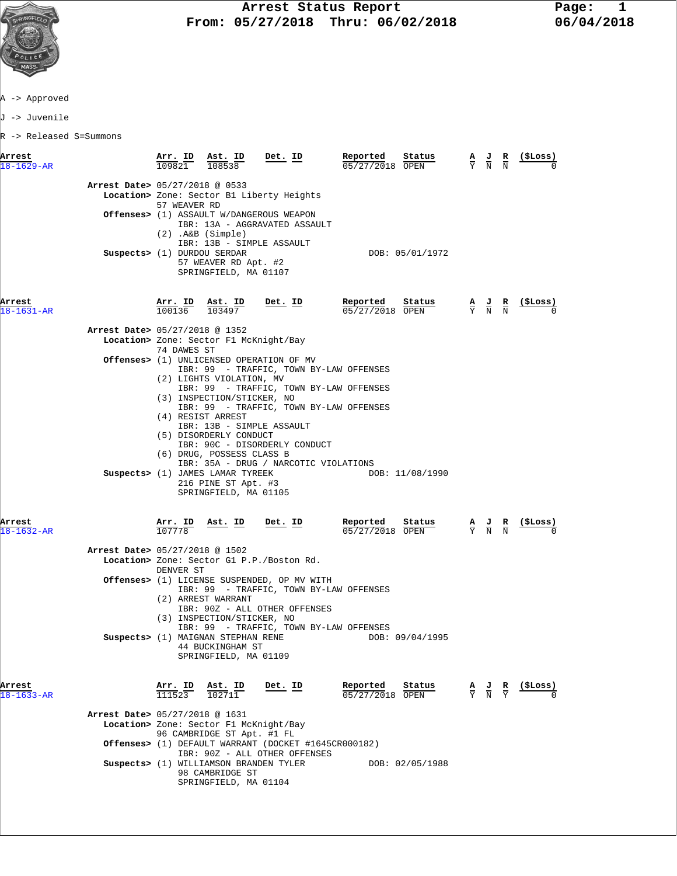

J -> Juvenile

| Arrest<br>$18 - 1629 - AR$ |                                | Arr. ID<br>109821         | Ast. ID<br>108538                                                                  | Det. ID                                                                                       | Reported<br>05/27/2018 OPEN | Status          | A J<br>$\overline{\mathbf{N}}$                                                                  | R<br>$\overline{N}$ | (\$Loss)                                                      |
|----------------------------|--------------------------------|---------------------------|------------------------------------------------------------------------------------|-----------------------------------------------------------------------------------------------|-----------------------------|-----------------|-------------------------------------------------------------------------------------------------|---------------------|---------------------------------------------------------------|
|                            |                                |                           |                                                                                    |                                                                                               |                             |                 |                                                                                                 |                     |                                                               |
|                            | Arrest Date> 05/27/2018 @ 0533 | 57 WEAVER RD              |                                                                                    | Location> Zone: Sector B1 Liberty Heights                                                     |                             |                 |                                                                                                 |                     |                                                               |
|                            |                                |                           |                                                                                    | <b>Offenses&gt;</b> (1) ASSAULT W/DANGEROUS WEAPON<br>IBR: 13A - AGGRAVATED ASSAULT           |                             |                 |                                                                                                 |                     |                                                               |
|                            |                                |                           | $(2)$ . A&B $(Simple)$<br>IBR: 13B - SIMPLE ASSAULT                                |                                                                                               |                             |                 |                                                                                                 |                     |                                                               |
|                            | Suspects> (1) DURDOU SERDAR    |                           | 57 WEAVER RD Apt. #2<br>SPRINGFIELD, MA 01107                                      |                                                                                               |                             | DOB: 05/01/1972 |                                                                                                 |                     |                                                               |
| Arrest<br>18-1631-AR       |                                | Arr. ID Ast. ID<br>100136 | 103497                                                                             | Det. ID                                                                                       | Reported<br>05/27/2018 OPEN | Status          | $\frac{\mathbf{A}}{\mathbf{Y}}$ $\frac{\mathbf{J}}{\mathbf{N}}$ $\frac{\mathbf{R}}{\mathbf{N}}$ |                     | <u>(SLoss)</u>                                                |
|                            | Arrest Date> 05/27/2018 @ 1352 |                           |                                                                                    |                                                                                               |                             |                 |                                                                                                 |                     |                                                               |
|                            |                                | 74 DAWES ST               | Location> Zone: Sector F1 McKnight/Bay                                             |                                                                                               |                             |                 |                                                                                                 |                     |                                                               |
|                            |                                |                           |                                                                                    | <b>Offenses&gt;</b> (1) UNLICENSED OPERATION OF MV<br>IBR: 99 - TRAFFIC, TOWN BY-LAW OFFENSES |                             |                 |                                                                                                 |                     |                                                               |
|                            |                                |                           | (2) LIGHTS VIOLATION, MV                                                           | IBR: 99 - TRAFFIC, TOWN BY-LAW OFFENSES                                                       |                             |                 |                                                                                                 |                     |                                                               |
|                            |                                |                           | (3) INSPECTION/STICKER, NO                                                         | IBR: 99 - TRAFFIC, TOWN BY-LAW OFFENSES                                                       |                             |                 |                                                                                                 |                     |                                                               |
|                            |                                |                           | (4) RESIST ARREST<br>IBR: 13B - SIMPLE ASSAULT                                     |                                                                                               |                             |                 |                                                                                                 |                     |                                                               |
|                            |                                |                           | (5) DISORDERLY CONDUCT                                                             |                                                                                               |                             |                 |                                                                                                 |                     |                                                               |
|                            |                                |                           | (6) DRUG, POSSESS CLASS B                                                          | IBR: 90C - DISORDERLY CONDUCT                                                                 |                             |                 |                                                                                                 |                     |                                                               |
|                            |                                |                           | Suspects> (1) JAMES LAMAR TYREEK                                                   | IBR: 35A - DRUG / NARCOTIC VIOLATIONS                                                         |                             | DOB: 11/08/1990 |                                                                                                 |                     |                                                               |
|                            |                                |                           | 216 PINE ST Apt. #3<br>SPRINGFIELD, MA 01105                                       |                                                                                               |                             |                 |                                                                                                 |                     |                                                               |
| Arrest<br>$18 - 1632 - AR$ |                                |                           | $\frac{\texttt{Arr.}}{107778}$ ast. ID                                             | Det. ID                                                                                       | Reported<br>05/27/2018 OPEN | Status          | $\frac{\mathbf{A}}{\mathbf{Y}}$ $\frac{\mathbf{J}}{\mathbf{N}}$ $\frac{\mathbf{R}}{\mathbf{N}}$ |                     |                                                               |
|                            | Arrest Date> 05/27/2018 @ 1502 |                           |                                                                                    |                                                                                               |                             |                 |                                                                                                 |                     |                                                               |
|                            |                                | DENVER ST                 |                                                                                    | Location> Zone: Sector G1 P.P./Boston Rd.                                                     |                             |                 |                                                                                                 |                     |                                                               |
|                            |                                |                           |                                                                                    | Offenses> (1) LICENSE SUSPENDED, OP MV WITH<br>IBR: 99 - TRAFFIC, TOWN BY-LAW OFFENSES        |                             |                 |                                                                                                 |                     |                                                               |
|                            |                                |                           | (2) ARREST WARRANT                                                                 | IBR: 90Z - ALL OTHER OFFENSES                                                                 |                             |                 |                                                                                                 |                     |                                                               |
|                            |                                |                           | (3) INSPECTION/STICKER, NO                                                         | IBR: 99 - TRAFFIC, TOWN BY-LAW OFFENSES                                                       |                             |                 |                                                                                                 |                     |                                                               |
|                            |                                |                           | Suspects> (1) MAIGNAN STEPHAN RENE<br>44 BUCKINGHAM ST<br>SPRINGFIELD, MA 01109    |                                                                                               |                             | DOB: 09/04/1995 |                                                                                                 |                     |                                                               |
| Arrest<br>$18 - 1633 - AR$ |                                |                           | $\frac{\text{Arr. ID}}{111523}$ $\frac{\text{Ast. ID}}{102711}$                    | <u>Det. ID</u>                                                                                | Reported<br>05/27/2018 OPEN | Status          |                                                                                                 |                     | $\frac{A}{Y}$ $\frac{J}{N}$ $\frac{R}{Y}$ $\frac{($Loss)}{0}$ |
|                            | Arrest Date> 05/27/2018 @ 1631 |                           |                                                                                    |                                                                                               |                             |                 |                                                                                                 |                     |                                                               |
|                            |                                |                           | Location> Zone: Sector F1 McKnight/Bay<br>96 CAMBRIDGE ST Apt. #1 FL               |                                                                                               |                             |                 |                                                                                                 |                     |                                                               |
|                            |                                |                           |                                                                                    | Offenses> (1) DEFAULT WARRANT (DOCKET #1645CR000182)<br>IBR: 90Z - ALL OTHER OFFENSES         |                             |                 |                                                                                                 |                     |                                                               |
|                            |                                |                           | Suspects> (1) WILLIAMSON BRANDEN TYLER<br>98 CAMBRIDGE ST<br>SPRINGFIELD, MA 01104 |                                                                                               |                             | DOB: 02/05/1988 |                                                                                                 |                     |                                                               |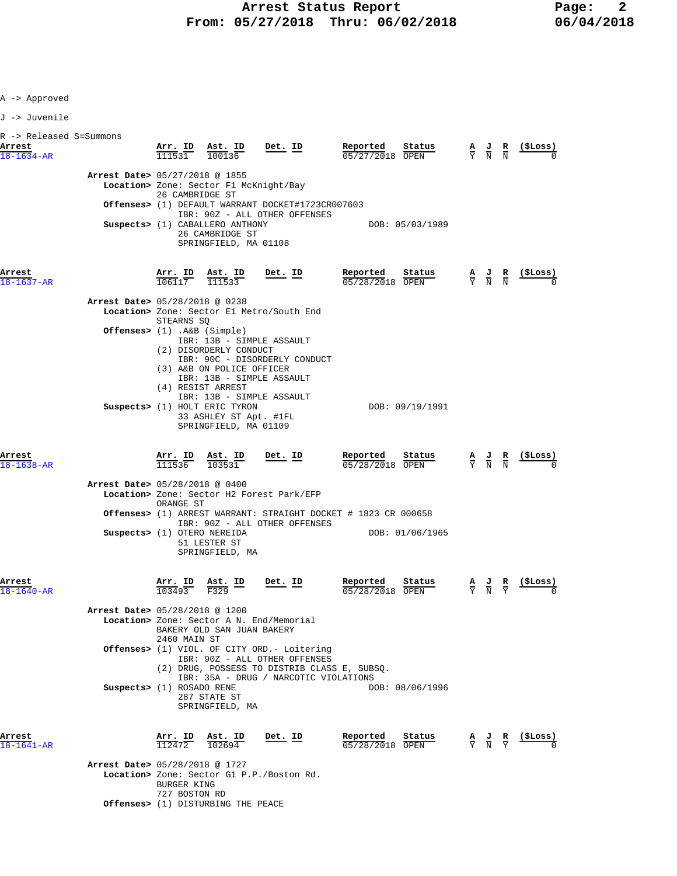| -> Approved |  |
|-------------|--|
|-------------|--|

| ı. |  | uuvenile |
|----|--|----------|
|----|--|----------|

| R -> Released S=Summons    |                                                               |                              |                                                                                                                                    |                                                                                                                                 |                                                                                             |                                                                                                 |                                                                 |                               |          |
|----------------------------|---------------------------------------------------------------|------------------------------|------------------------------------------------------------------------------------------------------------------------------------|---------------------------------------------------------------------------------------------------------------------------------|---------------------------------------------------------------------------------------------|-------------------------------------------------------------------------------------------------|-----------------------------------------------------------------|-------------------------------|----------|
| Arrest<br>$18 - 1634 - AR$ |                                                               |                              | $\frac{\text{Arr. ID}}{111531}$ $\frac{\text{Ast. ID}}{100136}$ Det. ID                                                            |                                                                                                                                 | Reported<br>Status<br>05/27/2018 OPEN                                                       |                                                                                                 | $\frac{A}{Y}$ $\frac{J}{N}$ $\frac{R}{N}$                       |                               | (\$Loss) |
|                            | Arrest Date> 05/27/2018 @ 1855                                | 26 CAMBRIDGE ST              |                                                                                                                                    | Location> Zone: Sector F1 McKnight/Bay<br>Offenses> (1) DEFAULT WARRANT DOCKET#1723CR007603                                     |                                                                                             |                                                                                                 |                                                                 |                               |          |
|                            |                                                               |                              | Suspects> (1) CABALLERO ANTHONY<br>26 CAMBRIDGE ST<br>SPRINGFIELD, MA 01108                                                        | IBR: 90Z - ALL OTHER OFFENSES                                                                                                   | DOB: 05/03/1989                                                                             |                                                                                                 |                                                                 |                               |          |
| Arrest<br>$18 - 1637 - AR$ |                                                               |                              | $\frac{\text{Arr.}}{106117}$ $\frac{\text{Est. ID}}{111533}$ Det. ID                                                               |                                                                                                                                 | Reported<br>Status<br>05/28/2018 OPEN                                                       | $\frac{\mathbf{A}}{\mathbf{Y}}$ $\frac{\mathbf{J}}{\mathbf{N}}$ $\frac{\mathbf{R}}{\mathbf{N}}$ |                                                                 |                               |          |
|                            | Arrest Date> 05/28/2018 @ 0238<br>Offenses> (1) .A&B (Simple) | STEARNS SQ                   | (2) DISORDERLY CONDUCT                                                                                                             | Location> Zone: Sector El Metro/South End<br>IBR: 13B - SIMPLE ASSAULT<br>IBR: 90C - DISORDERLY CONDUCT                         |                                                                                             |                                                                                                 |                                                                 |                               |          |
|                            |                                                               |                              | (3) A&B ON POLICE OFFICER<br>(4) RESIST ARREST<br>Suspects> (1) HOLT ERIC TYRON<br>33 ASHLEY ST Apt. #1FL<br>SPRINGFIELD, MA 01109 | IBR: 13B - SIMPLE ASSAULT<br>IBR: 13B - SIMPLE ASSAULT                                                                          | DOB: 09/19/1991                                                                             |                                                                                                 |                                                                 |                               |          |
| Arrest<br>$18 - 1638 - AR$ |                                                               |                              |                                                                                                                                    | $\frac{\text{Arr.}}{111536}$ $\frac{\text{Ast.}}{103531}$ Det. ID                                                               | Reported<br>Status<br>05/28/2018 OPEN                                                       | $\frac{\mathbf{A}}{\mathbf{Y}}$ $\frac{\mathbf{J}}{\mathbf{N}}$ $\frac{\mathbf{R}}{\mathbf{N}}$ |                                                                 |                               |          |
|                            | Arrest Date> 05/28/2018 @ 0400                                | ORANGE ST                    |                                                                                                                                    | Location> Zone: Sector H2 Forest Park/EFP                                                                                       |                                                                                             |                                                                                                 |                                                                 |                               |          |
|                            | Suspects> (1) OTERO NEREIDA                                   |                              | 51 LESTER ST<br>SPRINGFIELD, MA                                                                                                    | IBR: 90Z - ALL OTHER OFFENSES                                                                                                   | <b>Offenses&gt;</b> (1) ARREST WARRANT: STRAIGHT DOCKET # 1823 CR 000658<br>DOB: 01/06/1965 |                                                                                                 |                                                                 |                               |          |
| Arrest<br>$18 - 1640 - AR$ |                                                               | $\frac{\text{Arr.}}{103493}$ | $\underline{\text{Ast.}}$ ID<br>F329                                                                                               | <u>Det. ID</u>                                                                                                                  | Reported<br>Status<br>05/28/2018 OPEN                                                       |                                                                                                 | $\frac{\mathbf{A}}{\mathbf{Y}}$ $\frac{\mathbf{J}}{\mathbf{N}}$ | $rac{\mathbf{R}}{\mathbf{Y}}$ |          |
|                            | Arrest Date> 05/28/2018 @ 1200                                | 2460 MAIN ST                 | BAKERY OLD SAN JUAN BAKERY                                                                                                         | Location> Zone: Sector A N. End/Memorial                                                                                        |                                                                                             |                                                                                                 |                                                                 |                               |          |
|                            |                                                               |                              |                                                                                                                                    | <b>Offenses&gt;</b> (1) VIOL. OF CITY ORD.- Loitering<br>IBR: 90Z - ALL OTHER OFFENSES<br>IBR: 35A - DRUG / NARCOTIC VIOLATIONS | (2) DRUG, POSSESS TO DISTRIB CLASS E, SUBSQ.                                                |                                                                                                 |                                                                 |                               |          |
|                            | Suspects> (1) ROSADO RENE                                     |                              | 287 STATE ST<br>SPRINGFIELD, MA                                                                                                    |                                                                                                                                 | DOB: 08/06/1996                                                                             |                                                                                                 |                                                                 |                               |          |
| Arrest<br>18-1641-AR       |                                                               | Arr. ID<br>112472            | Ast. ID<br>102694                                                                                                                  | Det. ID                                                                                                                         | Reported<br>Status<br>05/28/2018 OPEN                                                       |                                                                                                 | $\frac{A}{Y}$ $\frac{J}{N}$ $\frac{R}{Y}$                       |                               | (ŞLoss)  |
|                            | Arrest Date> 05/28/2018 @ 1727                                | <b>BURGER KING</b>           |                                                                                                                                    | Location> Zone: Sector G1 P.P./Boston Rd.                                                                                       |                                                                                             |                                                                                                 |                                                                 |                               |          |

727 BOSTON RD  **Offenses>** (1) DISTURBING THE PEACE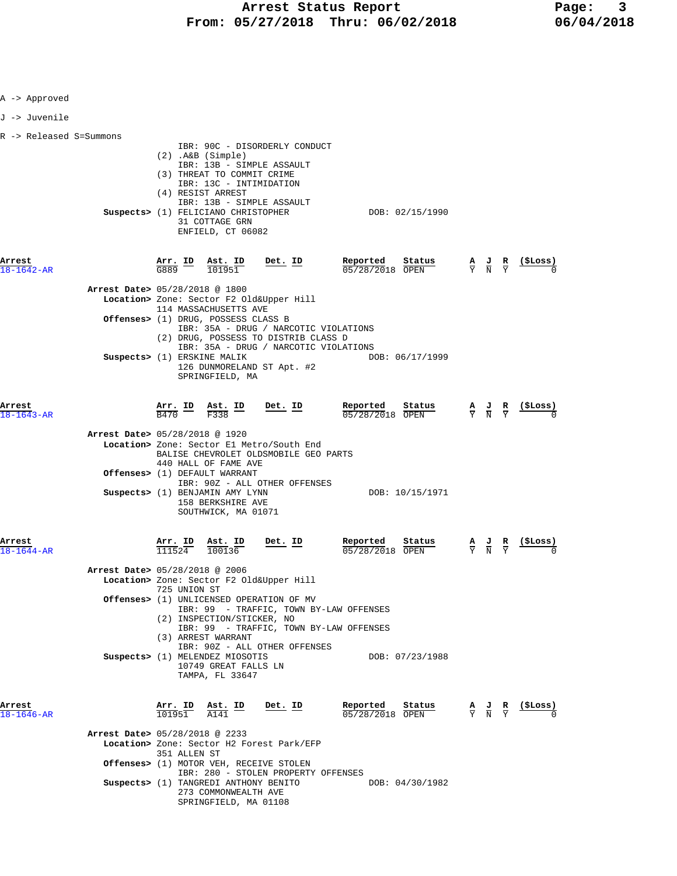| A -> Approved           |                                                                                                                                                                                                                                                                                                                                                                                                                                                                                 |                                                                                                                                      |                                                                 |
|-------------------------|---------------------------------------------------------------------------------------------------------------------------------------------------------------------------------------------------------------------------------------------------------------------------------------------------------------------------------------------------------------------------------------------------------------------------------------------------------------------------------|--------------------------------------------------------------------------------------------------------------------------------------|-----------------------------------------------------------------|
| J -> Juvenile           |                                                                                                                                                                                                                                                                                                                                                                                                                                                                                 |                                                                                                                                      |                                                                 |
| R -> Released S=Summons | IBR: 90C - DISORDERLY CONDUCT<br>$(2)$ . A&B $(Simple)$<br>IBR: 13B - SIMPLE ASSAULT<br>(3) THREAT TO COMMIT CRIME<br>IBR: 13C - INTIMIDATION<br>(4) RESIST ARREST<br>IBR: 13B - SIMPLE ASSAULT<br>Suspects> (1) FELICIANO CHRISTOPHER<br>31 COTTAGE GRN<br>ENFIELD, CT 06082                                                                                                                                                                                                   | DOB: 02/15/1990                                                                                                                      |                                                                 |
| Arrest<br>18-1642-AR    | $\frac{\texttt{Arr.}}{\texttt{G889}}$ ID<br>$Det. ID$<br>$\frac{\texttt{Ast. ID}}{101951}$                                                                                                                                                                                                                                                                                                                                                                                      | Reported<br>Status<br>05/28/2018 OPEN                                                                                                | (SLoss)<br>$\frac{A}{Y}$ $\frac{J}{N}$ $\frac{R}{Y}$            |
|                         | Arrest Date> 05/28/2018 @ 1800<br>Location> Zone: Sector F2 Old&Upper Hill<br>114 MASSACHUSETTS AVE<br>Offenses> (1) DRUG, POSSESS CLASS B<br>IBR: 35A - DRUG / NARCOTIC VIOLATIONS<br>(2) DRUG, POSSESS TO DISTRIB CLASS D<br>IBR: 35A - DRUG / NARCOTIC VIOLATIONS<br>Suspects> (1) ERSKINE MALIK<br>126 DUNMORELAND ST Apt. #2<br>SPRINGFIELD, MA                                                                                                                            | DOB: 06/17/1999                                                                                                                      |                                                                 |
| Arrest<br>18-1643-AR    | $\frac{\texttt{Ast.}}{\text{F338}}$ ID Det. ID<br>$\frac{\texttt{Arr.}}{\texttt{B470}}$ ID<br>Arrest Date> 05/28/2018 @ 1920<br>Location> Zone: Sector El Metro/South End                                                                                                                                                                                                                                                                                                       | Reported<br>$\frac{\text{Status}}{\text{1}}$<br>05/28/2018 OPEN                                                                      | (SLoss)<br>$\frac{A}{Y}$ $\frac{J}{N}$ $\frac{R}{Y}$            |
|                         | BALISE CHEVROLET OLDSMOBILE GEO PARTS<br>440 HALL OF FAME AVE<br>Offenses> (1) DEFAULT WARRANT<br>IBR: 90Z - ALL OTHER OFFENSES<br>Suspects> (1) BENJAMIN AMY LYNN<br>158 BERKSHIRE AVE<br>SOUTHWICK, MA 01071                                                                                                                                                                                                                                                                  | DOB: 10/15/1971                                                                                                                      |                                                                 |
| Arrest<br>18-1644-AR    | Det. ID<br>$\frac{\texttt{Arr.}}{111524}$<br>$\frac{\text{Ast. ID}}{100136}$<br>Arrest Date> 05/28/2018 @ 2006<br>Location> Zone: Sector F2 Old&Upper Hill<br>725 UNION ST<br>Offenses> (1) UNLICENSED OPERATION OF MV<br>IBR: 99 - TRAFFIC, TOWN BY-LAW OFFENSES<br>(2) INSPECTION/STICKER, NO<br>IBR: 99 - TRAFFIC, TOWN BY-LAW OFFENSES<br>(3) ARREST WARRANT<br>IBR: 90Z - ALL OTHER OFFENSES<br>Suspects> (1) MELENDEZ MIOSOTIS<br>10749 GREAT FALLS LN<br>TAMPA, FL 33647 | Reported<br>Status<br>05/28/2018 OPEN<br>DOB: 07/23/1988                                                                             | $\frac{\mathbf{A}}{\mathbf{Y}}$ $\frac{\mathbf{J}}{\mathbf{N}}$ |
| Arrest<br>18-1646-AR    | $Det. ID$<br>$\frac{\texttt{Arr.}}{101951}$ $\frac{\texttt{ Ast.}}{141}$ $\frac{\texttt{ID}}{10195}$<br>Arrest Date> 05/28/2018 @ 2233<br>Location> Zone: Sector H2 Forest Park/EFP<br>351 ALLEN ST<br>Offenses> (1) MOTOR VEH, RECEIVE STOLEN<br>IBR: 280 - STOLEN PROPERTY OFFENSES<br>Suspects> (1) TANGREDI ANTHONY BENITO<br>273 COMMONWEALTH AVE<br>SPRINGFIELD, MA 01108                                                                                                 | <b>Reported Status A J R</b> (\$Loss) $\frac{0.5}{28/28/2018}$ OPEN $\frac{1}{2}$ <b>N</b> $\frac{1}{2}$ <b>C</b><br>DOB: 04/30/1982 |                                                                 |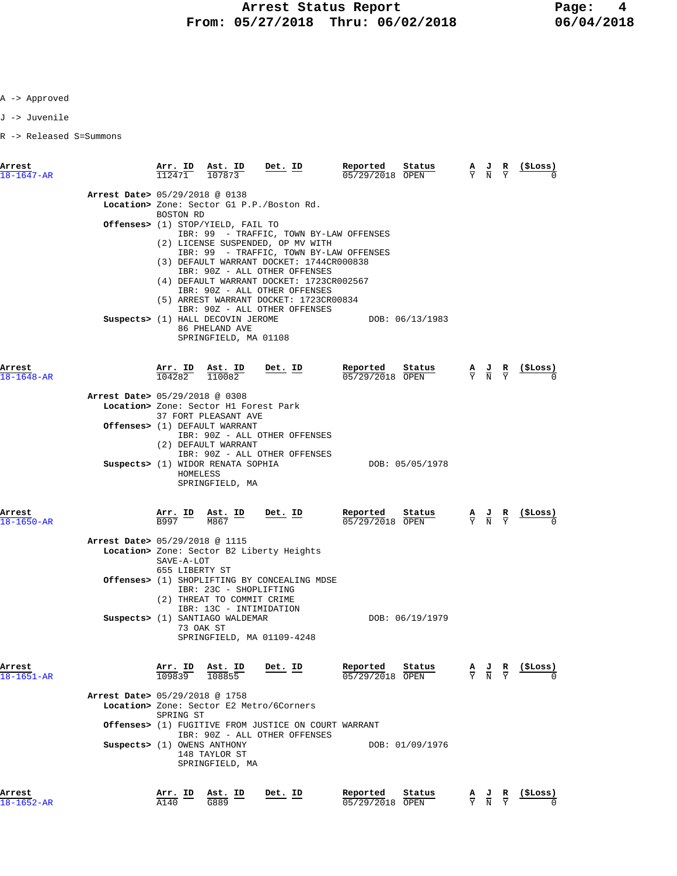J -> Juvenile

| Arrest<br>$18 - 1647 - AR$     | 112471                       | Arr. ID Ast. ID<br>107873                                                                                          | Det. ID                                                                                                                                                                                                                                                                                                                                                      | Reported<br>$05/29/2018$ OPEN | Status          | $\overline{Y}$ | AJ R<br>$\overline{\rm N}$                                                                            | Y                             | (ŞLoss)         |
|--------------------------------|------------------------------|--------------------------------------------------------------------------------------------------------------------|--------------------------------------------------------------------------------------------------------------------------------------------------------------------------------------------------------------------------------------------------------------------------------------------------------------------------------------------------------------|-------------------------------|-----------------|----------------|-------------------------------------------------------------------------------------------------------|-------------------------------|-----------------|
| Arrest Date> 05/29/2018 @ 0138 | BOSTON RD                    |                                                                                                                    | Location> Zone: Sector G1 P.P./Boston Rd.                                                                                                                                                                                                                                                                                                                    |                               |                 |                |                                                                                                       |                               |                 |
|                                |                              | <b>Offenses&gt;</b> (1) STOP/YIELD, FAIL TO                                                                        | IBR: 99 - TRAFFIC, TOWN BY-LAW OFFENSES<br>(2) LICENSE SUSPENDED, OP MV WITH<br>IBR: 99 - TRAFFIC, TOWN BY-LAW OFFENSES<br>(3) DEFAULT WARRANT DOCKET: 1744CR000838<br>IBR: 90Z - ALL OTHER OFFENSES<br>(4) DEFAULT WARRANT DOCKET: 1723CR002567<br>IBR: 90Z - ALL OTHER OFFENSES<br>(5) ARREST WARRANT DOCKET: 1723CR00834<br>IBR: 90Z - ALL OTHER OFFENSES |                               |                 |                |                                                                                                       |                               |                 |
|                                |                              | Suspects> (1) HALL DECOVIN JEROME<br>86 PHELAND AVE<br>SPRINGFIELD, MA 01108                                       |                                                                                                                                                                                                                                                                                                                                                              |                               | DOB: 06/13/1983 |                |                                                                                                       |                               |                 |
| Arrest<br>$18 - 1648 - AR$     |                              | $\frac{\texttt{Arr.}}{104282}$ $\frac{\texttt{lab}}{110082}$                                                       | <u>Det. ID</u>                                                                                                                                                                                                                                                                                                                                               | Reported<br>05/29/2018 OPEN   | Status          |                | $\frac{\mathbf{A}}{\mathbf{Y}}$ $\frac{\mathbf{J}}{\mathbf{N}}$ $\frac{\mathbf{R}}{\mathbf{Y}}$       |                               | <u>(\$Loss)</u> |
| Arrest Date> 05/29/2018 @ 0308 |                              | Location> Zone: Sector H1 Forest Park                                                                              |                                                                                                                                                                                                                                                                                                                                                              |                               |                 |                |                                                                                                       |                               |                 |
|                                |                              | 37 FORT PLEASANT AVE<br>Offenses> (1) DEFAULT WARRANT<br>(2) DEFAULT WARRANT                                       | IBR: 90Z - ALL OTHER OFFENSES<br>IBR: 90Z - ALL OTHER OFFENSES                                                                                                                                                                                                                                                                                               |                               |                 |                |                                                                                                       |                               |                 |
|                                | HOMELESS                     | Suspects> (1) WIDOR RENATA SOPHIA<br>SPRINGFIELD, MA                                                               |                                                                                                                                                                                                                                                                                                                                                              |                               | DOB: 05/05/1978 |                |                                                                                                       |                               |                 |
| Arrest<br>18-1650-AR           | B997                         | Arr. ID Ast. ID<br>M867                                                                                            | $Det. ID$                                                                                                                                                                                                                                                                                                                                                    | Reported<br>05/29/2018 OPEN   | Status          |                | $\frac{\mathbf{A}}{\overline{Y}}$ $\frac{\mathbf{J}}{\overline{N}}$ $\frac{\mathbf{R}}{\overline{Y}}$ |                               | (ŞLoss)         |
| Arrest Date> 05/29/2018 @ 1115 | SAVE-A-LOT<br>655 LIBERTY ST |                                                                                                                    | Location> Zone: Sector B2 Liberty Heights                                                                                                                                                                                                                                                                                                                    |                               |                 |                |                                                                                                       |                               |                 |
|                                |                              | IBR: 23C - SHOPLIFTING<br>(2) THREAT TO COMMIT CRIME<br>IBR: 13C - INTIMIDATION<br>Suspects> (1) SANTIAGO WALDEMAR | <b>Offenses&gt;</b> (1) SHOPLIFTING BY CONCEALING MDSE                                                                                                                                                                                                                                                                                                       |                               | DOB: 06/19/1979 |                |                                                                                                       |                               |                 |
|                                |                              | 73 OAK ST                                                                                                          | SPRINGFIELD, MA 01109-4248                                                                                                                                                                                                                                                                                                                                   |                               |                 |                |                                                                                                       |                               |                 |
| Arrest<br>18-1651-AR           | $\frac{\text{Arr.}}{109839}$ | <u>Ast. ID</u>                                                                                                     | <u>Det. ID</u>                                                                                                                                                                                                                                                                                                                                               | Reported<br>05/29/2018 OPEN   | Status          |                | $\frac{A}{Y}$ $\frac{J}{N}$                                                                           | $rac{\mathbf{R}}{\mathrm{Y}}$ | (ŞLoss)         |
| Arrest Date> 05/29/2018 @ 1758 | SPRING ST                    |                                                                                                                    | Location> Zone: Sector E2 Metro/6Corners                                                                                                                                                                                                                                                                                                                     |                               |                 |                |                                                                                                       |                               |                 |
|                                | Suspects> (1) OWENS ANTHONY  | 148 TAYLOR ST<br>SPRINGFIELD, MA                                                                                   | <b>Offenses&gt;</b> (1) FUGITIVE FROM JUSTICE ON COURT WARRANT<br>IBR: 90Z - ALL OTHER OFFENSES                                                                                                                                                                                                                                                              |                               | DOB: 01/09/1976 |                |                                                                                                       |                               |                 |
| Arrest<br>18-1652-AR           | Arr. ID<br>A140              | <u>Ast. ID</u><br>G889                                                                                             | <u>Det. ID</u>                                                                                                                                                                                                                                                                                                                                               | Reported<br>05/29/2018 OPEN   | Status          |                | $\frac{J}{N}$                                                                                         |                               | (ŞLoss)         |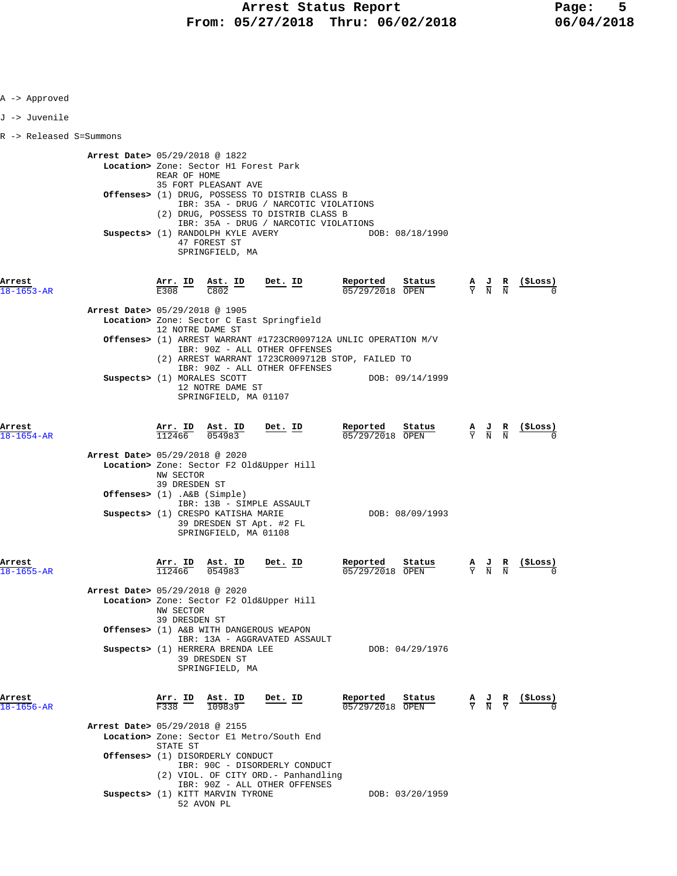| A -> Approved              |                                          |                            |                                                                                                                                                                          |           |                                                                                                                                              |                                                                                                 |                                                               |
|----------------------------|------------------------------------------|----------------------------|--------------------------------------------------------------------------------------------------------------------------------------------------------------------------|-----------|----------------------------------------------------------------------------------------------------------------------------------------------|-------------------------------------------------------------------------------------------------|---------------------------------------------------------------|
| J -> Juvenile              |                                          |                            |                                                                                                                                                                          |           |                                                                                                                                              |                                                                                                 |                                                               |
| R -> Released S=Summons    |                                          |                            |                                                                                                                                                                          |           |                                                                                                                                              |                                                                                                 |                                                               |
|                            | <b>Arrest Date&gt;</b> 05/29/2018 @ 1822 | REAR OF HOME               | Location> Zone: Sector H1 Forest Park<br>35 FORT PLEASANT AVE                                                                                                            |           |                                                                                                                                              |                                                                                                 |                                                               |
|                            |                                          |                            | Offenses> (1) DRUG, POSSESS TO DISTRIB CLASS B<br>IBR: 35A - DRUG / NARCOTIC VIOLATIONS<br>(2) DRUG, POSSESS TO DISTRIB CLASS B<br>IBR: 35A - DRUG / NARCOTIC VIOLATIONS |           |                                                                                                                                              |                                                                                                 |                                                               |
|                            |                                          |                            | Suspects> (1) RANDOLPH KYLE AVERY<br>47 FOREST ST<br>SPRINGFIELD, MA                                                                                                     |           | DOB: 08/18/1990                                                                                                                              |                                                                                                 |                                                               |
| Arrest<br>18-1653-AR       |                                          |                            | $\frac{\text{Arr.}}{\text{E308}}$ ID $\frac{\text{Ast.}}{\text{C802}}$ ID Det. ID                                                                                        |           | <b>Reported</b> Status $\overline{0.5/29/2018}$ OPEN $\overline{Y}$ N N $(5 \overline{\phantom{0}})$                                         |                                                                                                 |                                                               |
|                            | Arrest Date> 05/29/2018 @ 1905           |                            | Location> Zone: Sector C East Springfield                                                                                                                                |           |                                                                                                                                              |                                                                                                 |                                                               |
|                            |                                          | 12 NOTRE DAME ST           | IBR: 90Z - ALL OTHER OFFENSES                                                                                                                                            |           | <b>Offenses&gt;</b> (1) ARREST WARRANT #1723CR009712A UNLIC OPERATION M/V                                                                    |                                                                                                 |                                                               |
|                            | Suspects> (1) MORALES SCOTT              |                            | IBR: 90Z - ALL OTHER OFFENSES<br>12 NOTRE DAME ST<br>SPRINGFIELD, MA 01107                                                                                               |           | (2) ARREST WARRANT 1723CR009712B STOP, FAILED TO<br>DOB: 09/14/1999                                                                          |                                                                                                 |                                                               |
| Arrest<br>$18 - 1654 - AR$ |                                          |                            | $\frac{\texttt{Arr.}}{112466}$ $\frac{\texttt{Ab.}}{054983}$ $\frac{\texttt{Det.}}{054983}$                                                                              |           | <b>Reported Status A J R (\$Loss)</b><br>$\frac{0.05}{0.05}$ $\frac{0.02}{0.02}$ $\frac{0.02}{0.02}$ $\frac{0.02}{0.02}$ $\frac{0.02}{0.02}$ |                                                                                                 |                                                               |
|                            | Arrest Date> 05/29/2018 @ 2020           | NW SECTOR<br>39 DRESDEN ST | Location> Zone: Sector F2 Old&Upper Hill                                                                                                                                 |           |                                                                                                                                              |                                                                                                 |                                                               |
|                            | Offenses> $(1)$ . A&B $(Simple)$         |                            | IBR: 13B - SIMPLE ASSAULT<br>Suspects> (1) CRESPO KATISHA MARIE<br>39 DRESDEN ST Apt. #2 FL<br>SPRINGFIELD, MA 01108                                                     |           | DOB: 08/09/1993                                                                                                                              |                                                                                                 |                                                               |
| Arrest<br>18-1655-AR       |                                          | Arr. ID<br>112466          | $\frac{\texttt{Ast. ID}}{054983}$                                                                                                                                        | $Det. ID$ | Reported<br>Status<br>05/29/2018 OPEN                                                                                                        |                                                                                                 | $\frac{A}{Y}$ $\frac{J}{N}$ $\frac{R}{N}$ $\frac{($Loss)}{0}$ |
|                            | Arrest Date> 05/29/2018 @ 2020           | NW SECTOR<br>39 DRESDEN ST | Location> Zone: Sector F2 Old&Upper Hill                                                                                                                                 |           |                                                                                                                                              |                                                                                                 |                                                               |
|                            |                                          |                            | Offenses> (1) A&B WITH DANGEROUS WEAPON<br>IBR: 13A - AGGRAVATED ASSAULT                                                                                                 |           |                                                                                                                                              |                                                                                                 |                                                               |
|                            |                                          |                            | Suspects> (1) HERRERA BRENDA LEE<br>39 DRESDEN ST<br>SPRINGFIELD, MA                                                                                                     |           | DOB: 04/29/1976                                                                                                                              |                                                                                                 |                                                               |
| Arrest<br>18-1656-AR       |                                          | Arr. ID<br>F338            | Ast. ID<br>109839                                                                                                                                                        | Det. ID   | Reported<br>Status<br>05/29/2018 OPEN                                                                                                        | $\frac{\mathbf{A}}{\mathbf{Y}}$ $\frac{\mathbf{J}}{\mathbf{N}}$ $\frac{\mathbf{R}}{\mathbf{Y}}$ | (\$Loss)                                                      |
|                            | Arrest Date> 05/29/2018 @ 2155           |                            | Location> Zone: Sector E1 Metro/South End                                                                                                                                |           |                                                                                                                                              |                                                                                                 |                                                               |
|                            |                                          | STATE ST                   | Offenses> (1) DISORDERLY CONDUCT<br>IBR: 90C - DISORDERLY CONDUCT<br>(2) VIOL. OF CITY ORD. - Panhandling                                                                |           |                                                                                                                                              |                                                                                                 |                                                               |
|                            |                                          |                            | IBR: 90Z - ALL OTHER OFFENSES<br>Suspects> (1) KITT MARVIN TYRONE<br>52 AVON PL                                                                                          |           | DOB: 03/20/1959                                                                                                                              |                                                                                                 |                                                               |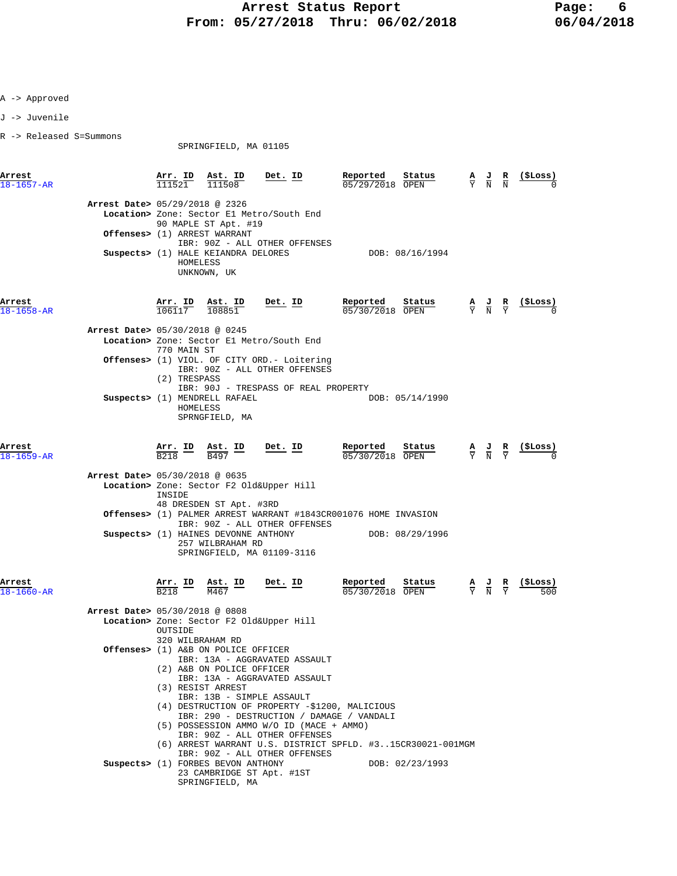J -> Juvenile

R -> Released S=Summons

SPRINGFIELD, MA 01105

| Arrest<br>$18 - 1657 - AR$     | Arr. ID<br>111521                                  | Ast. ID<br>111508                                                                               | Det. ID                                                                                                                                                                                                                                | Reported<br>05/29/2018 OPEN | Status          | $\frac{\mathbf{A}}{\mathbf{Y}}$ | $\frac{\mathbf{J}}{\mathbf{N}}$                                                                 | $\frac{R}{N}$                 | $($ \$Loss)    |
|--------------------------------|----------------------------------------------------|-------------------------------------------------------------------------------------------------|----------------------------------------------------------------------------------------------------------------------------------------------------------------------------------------------------------------------------------------|-----------------------------|-----------------|---------------------------------|-------------------------------------------------------------------------------------------------|-------------------------------|----------------|
| Arrest Date> 05/29/2018 @ 2326 |                                                    | 90 MAPLE ST Apt. #19<br><b>Offenses&gt;</b> (1) ARREST WARRANT                                  | Location> Zone: Sector El Metro/South End<br>IBR: 90Z - ALL OTHER OFFENSES                                                                                                                                                             |                             |                 |                                 |                                                                                                 |                               |                |
|                                | HOMELESS                                           | Suspects> (1) HALE KEIANDRA DELORES<br>UNKNOWN, UK                                              |                                                                                                                                                                                                                                        |                             | DOB: 08/16/1994 |                                 |                                                                                                 |                               |                |
| Arrest<br>$18 - 1658 - AR$     | Arr. ID<br>106117                                  | Ast. ID<br>108851                                                                               | Det. ID                                                                                                                                                                                                                                | Reported<br>05/30/2018 OPEN | Status          |                                 | $\frac{A}{Y}$ $\frac{J}{N}$ $\frac{R}{Y}$                                                       |                               |                |
| Arrest Date> 05/30/2018 @ 0245 | 770 MAIN ST                                        |                                                                                                 | Location> Zone: Sector El Metro/South End                                                                                                                                                                                              |                             |                 |                                 |                                                                                                 |                               |                |
|                                | (2) TRESPASS                                       |                                                                                                 | <b>Offenses&gt;</b> (1) VIOL. OF CITY ORD.- Loitering<br>IBR: 90Z - ALL OTHER OFFENSES<br>IBR: 90J - TRESPASS OF REAL PROPERTY                                                                                                         |                             |                 |                                 |                                                                                                 |                               |                |
|                                | HOMELESS                                           | Suspects> (1) MENDRELL RAFAEL<br>SPRNGFIELD, MA                                                 |                                                                                                                                                                                                                                        |                             | DOB: 05/14/1990 |                                 |                                                                                                 |                               |                |
| Arrest<br>$18 - 1659 - AR$     | $\frac{\text{Arr.}}{\text{cos}}$ ID<br><b>B218</b> | <u>Ast. ID</u><br>B497                                                                          | Det. ID                                                                                                                                                                                                                                | Reported<br>05/30/2018 OPEN | Status          |                                 | $\frac{\mathbf{A}}{\mathbf{Y}}$ $\frac{\mathbf{J}}{\mathbf{N}}$                                 | $rac{\mathbf{R}}{\mathbf{Y}}$ | <u>(ŞLoss)</u> |
| Arrest Date> 05/30/2018 @ 0635 | INSIDE                                             | 48 DRESDEN ST Apt. #3RD                                                                         | Location> Zone: Sector F2 Old&Upper Hill                                                                                                                                                                                               |                             |                 |                                 |                                                                                                 |                               |                |
|                                |                                                    | Suspects> (1) HAINES DEVONNE ANTHONY<br>257 WILBRAHAM RD                                        | <b>Offenses&gt;</b> (1) PALMER ARREST WARRANT #1843CR001076 HOME INVASION<br>IBR: 90Z - ALL OTHER OFFENSES<br>SPRINGFIELD, MA 01109-3116                                                                                               |                             | DOB: 08/29/1996 |                                 |                                                                                                 |                               |                |
| Arrest<br>$18 - 1660 - AR$     | $\frac{\text{Arr.}}{\text{R}218}$ ID               | $\frac{\text{Ast.}}{\text{MAG7}}$ ID<br>M467                                                    | <u>Det. ID</u>                                                                                                                                                                                                                         | Reported<br>05/30/2018 OPEN | Status          |                                 | $\frac{\mathbf{A}}{\mathbf{Y}}$ $\frac{\mathbf{J}}{\mathbf{N}}$ $\frac{\mathbf{R}}{\mathbf{Y}}$ |                               |                |
| Arrest Date> 05/30/2018 @ 0808 | OUTSIDE<br>320 WILBRAHAM RD                        |                                                                                                 | Location> Zone: Sector F2 Old&Upper Hill                                                                                                                                                                                               |                             |                 |                                 |                                                                                                 |                               |                |
|                                |                                                    | <b>Offenses&gt;</b> (1) A&B ON POLICE OFFICER<br>(2) A&B ON POLICE OFFICER<br>(3) RESIST ARREST | IBR: 13A - AGGRAVATED ASSAULT<br>IBR: 13A - AGGRAVATED ASSAULT<br>IBR: 13B - SIMPLE ASSAULT<br>(4) DESTRUCTION OF PROPERTY -\$1200, MALICIOUS<br>IBR: 290 - DESTRUCTION / DAMAGE / VANDALI<br>(5) POSSESSION AMMO W/O ID (MACE + AMMO) |                             |                 |                                 |                                                                                                 |                               |                |
|                                |                                                    | Suspects> (1) FORBES BEVON ANTHONY                                                              | IBR: 90Z - ALL OTHER OFFENSES<br>(6) ARREST WARRANT U.S. DISTRICT SPFLD. #315CR30021-001MGM<br>IBR: 90Z - ALL OTHER OFFENSES<br>23 CAMBRIDGE ST Apt. #1ST                                                                              |                             | DOB: 02/23/1993 |                                 |                                                                                                 |                               |                |

- 
- SPRINGFIELD, MA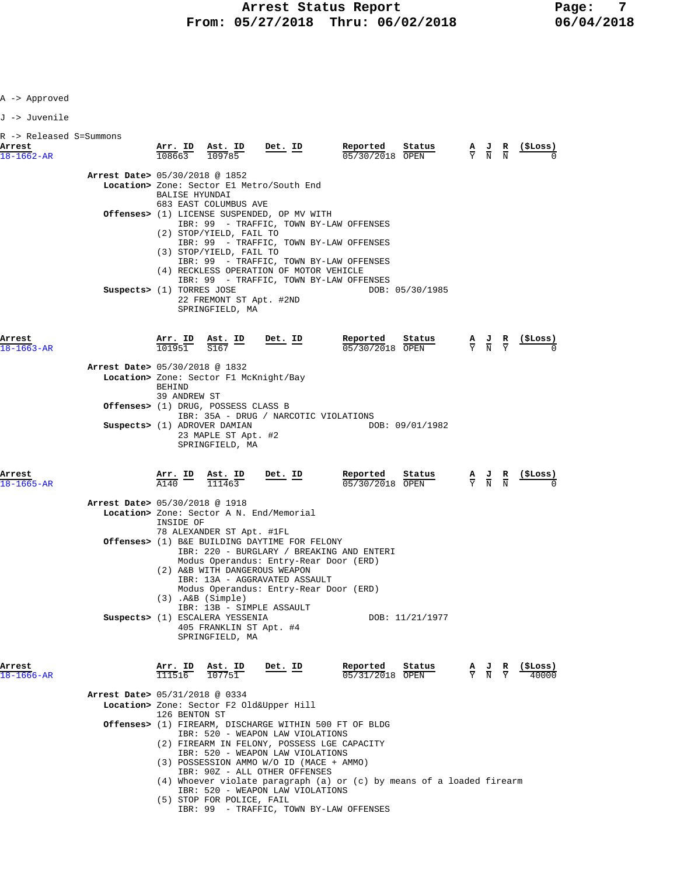J -> Juvenile

| R -> Released S=Summons    |                                          |                                                                                                                                                  |                                                                                                    |                                                                                                                                                                                                             |                                                                                                                                                                          |                           |  |                                                                                                 |  |                   |
|----------------------------|------------------------------------------|--------------------------------------------------------------------------------------------------------------------------------------------------|----------------------------------------------------------------------------------------------------|-------------------------------------------------------------------------------------------------------------------------------------------------------------------------------------------------------------|--------------------------------------------------------------------------------------------------------------------------------------------------------------------------|---------------------------|--|-------------------------------------------------------------------------------------------------|--|-------------------|
| Arrest<br>$18 - 1662 - AR$ |                                          |                                                                                                                                                  |                                                                                                    | $\frac{\texttt{Arr. ID}}{108663}$ $\frac{\texttt{Ast. ID}}{109785}$ Det. ID                                                                                                                                 | Reported<br>05/30/2018 OPEN                                                                                                                                              | Status                    |  | $\frac{A}{Y}$ $\frac{J}{N}$ $\frac{R}{N}$                                                       |  | $(_{\rm{SLOSS}})$ |
|                            | Arrest Date> 05/30/2018 @ 1852           | BALISE HYUNDAI                                                                                                                                   | 683 EAST COLUMBUS AVE                                                                              | Location> Zone: Sector El Metro/South End                                                                                                                                                                   |                                                                                                                                                                          |                           |  |                                                                                                 |  |                   |
|                            |                                          |                                                                                                                                                  | (2) STOP/YIELD, FAIL TO<br>(3) STOP/YIELD, FAIL TO                                                 | Offenses> (1) LICENSE SUSPENDED, OP MV WITH<br>(4) RECKLESS OPERATION OF MOTOR VEHICLE                                                                                                                      | IBR: 99 - TRAFFIC, TOWN BY-LAW OFFENSES<br>IBR: 99 - TRAFFIC, TOWN BY-LAW OFFENSES<br>IBR: 99 - TRAFFIC, TOWN BY-LAW OFFENSES<br>IBR: 99 - TRAFFIC, TOWN BY-LAW OFFENSES |                           |  |                                                                                                 |  |                   |
| Arrest                     | Suspects> (1) TORRES JOSE                |                                                                                                                                                  | 22 FREMONT ST Apt. #2ND<br>SPRINGFIELD, MA                                                         | $Det$ . ID                                                                                                                                                                                                  | Reported                                                                                                                                                                 | DOB: 05/30/1985<br>Status |  |                                                                                                 |  | (SLoss)           |
| $18 - 1663 - AR$           | Arrest Date> 05/30/2018 @ 1832           |                                                                                                                                                  | $\frac{\texttt{arr. ID}}{101951}$ $\frac{\texttt{Ast. ID}}{S167}$                                  |                                                                                                                                                                                                             | 05/30/2018 OPEN                                                                                                                                                          |                           |  | $\frac{\mathbf{A}}{\mathbf{Y}}$ $\frac{\mathbf{J}}{\mathbf{N}}$ $\frac{\mathbf{R}}{\mathbf{Y}}$ |  |                   |
|                            |                                          | BEHIND                                                                                                                                           |                                                                                                    | Location> Zone: Sector F1 McKnight/Bay                                                                                                                                                                      |                                                                                                                                                                          |                           |  |                                                                                                 |  |                   |
|                            |                                          | 39 ANDREW ST                                                                                                                                     | Offenses> (1) DRUG, POSSESS CLASS B                                                                | IBR: 35A - DRUG / NARCOTIC VIOLATIONS                                                                                                                                                                       |                                                                                                                                                                          |                           |  |                                                                                                 |  |                   |
|                            |                                          |                                                                                                                                                  | Suspects> (1) ADROVER DAMIAN<br>23 MAPLE ST Apt. #2<br>SPRINGFIELD, MA                             |                                                                                                                                                                                                             |                                                                                                                                                                          | DOB: 09/01/1982           |  |                                                                                                 |  |                   |
| Arrest<br>$18 - 1665 - AR$ |                                          | $\frac{\text{Arr.}}{\text{--}}$ ID<br>A140                                                                                                       | <u>Ast. ID</u><br>111463                                                                           | Det. ID                                                                                                                                                                                                     | Reported<br>05/30/2018 OPEN                                                                                                                                              | Status                    |  | $\frac{\mathbf{A}}{\mathbf{Y}}$ $\frac{\mathbf{J}}{\mathbf{N}}$ $\frac{\mathbf{R}}{\mathbf{N}}$ |  |                   |
|                            | <b>Arrest Date&gt; 05/30/2018 @ 1918</b> | INSIDE OF                                                                                                                                        |                                                                                                    | Location> Zone: Sector A N. End/Memorial                                                                                                                                                                    |                                                                                                                                                                          |                           |  |                                                                                                 |  |                   |
|                            |                                          |                                                                                                                                                  | 78 ALEXANDER ST Apt. #1FL                                                                          | Offenses> (1) B&E BUILDING DAYTIME FOR FELONY<br>Modus Operandus: Entry-Rear Door (ERD)<br>(2) A&B WITH DANGEROUS WEAPON<br>IBR: 13A - AGGRAVATED ASSAULT<br>Modus Operandus: Entry-Rear Door (ERD)         | IBR: 220 - BURGLARY / BREAKING AND ENTERI                                                                                                                                |                           |  |                                                                                                 |  |                   |
|                            |                                          |                                                                                                                                                  | (3) .A&B (Simple)<br>Suspects> (1) ESCALERA YESSENIA<br>405 FRANKLIN ST Apt. #4<br>SPRINGFIELD, MA | IBR: 13B - SIMPLE ASSAULT                                                                                                                                                                                   |                                                                                                                                                                          | DOB: 11/21/1977           |  |                                                                                                 |  |                   |
| Arrest<br>$18 - 1666 - AR$ |                                          |                                                                                                                                                  | $\frac{\text{Arr.}}{111516}$ $\frac{\text{Ast.}}{107751}$                                          | Det. ID                                                                                                                                                                                                     | Reported<br>05/31/2018 OPEN                                                                                                                                              | Status                    |  | $\frac{\mathbf{A}}{\mathbf{Y}}$ $\frac{\mathbf{J}}{\mathbf{N}}$ $\frac{\mathbf{R}}{\mathbf{Y}}$ |  | (\$Loss)<br>40000 |
|                            | Arrest Date> 05/31/2018 @ 0334           | 126 BENTON ST                                                                                                                                    |                                                                                                    | Location> Zone: Sector F2 Old&Upper Hill<br>IBR: 520 - WEAPON LAW VIOLATIONS<br>(2) FIREARM IN FELONY, POSSESS LGE CAPACITY<br>IBR: 520 - WEAPON LAW VIOLATIONS<br>(3) POSSESSION AMMO W/O ID (MACE + AMMO) | Offenses> (1) FIREARM, DISCHARGE WITHIN 500 FT OF BLDG                                                                                                                   |                           |  |                                                                                                 |  |                   |
|                            |                                          | IBR: 90Z - ALL OTHER OFFENSES<br>$(4)$ Whoever violate paragraph $(a)$ or $(c)$ by means of a loaded firearm<br>IBR: 520 - WEAPON LAW VIOLATIONS |                                                                                                    |                                                                                                                                                                                                             |                                                                                                                                                                          |                           |  |                                                                                                 |  |                   |

(5) STOP FOR POLICE, FAIL

IBR: 99 - TRAFFIC, TOWN BY-LAW OFFENSES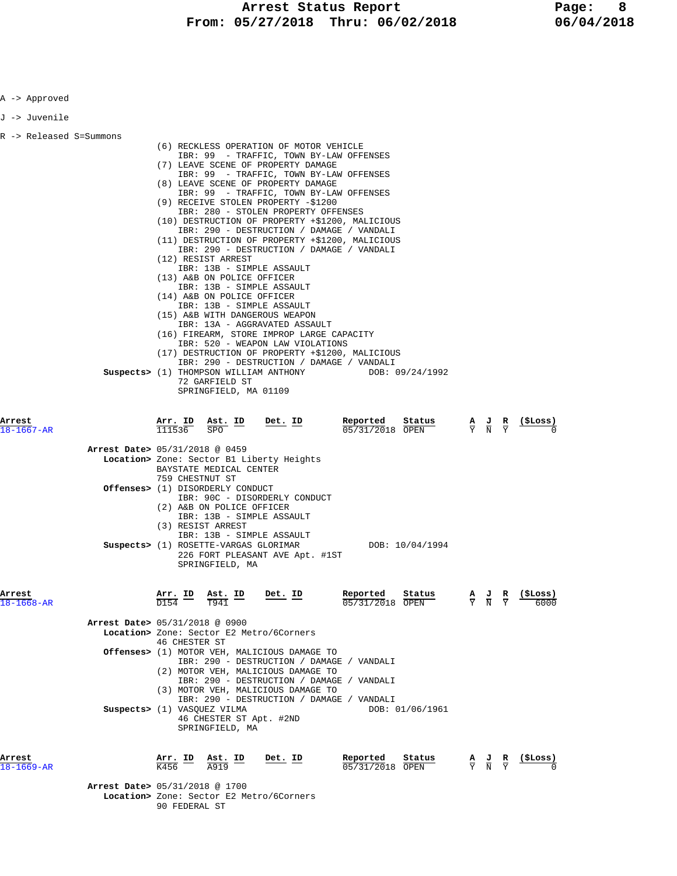| A -> Approved              |                                                                                                                                                                                                                                                                                                                                                                                                                                                                                                                                                                                                                                                                                                                                                                                                                                                                                                                                                                                                                              |  |  |  |  |  |  |
|----------------------------|------------------------------------------------------------------------------------------------------------------------------------------------------------------------------------------------------------------------------------------------------------------------------------------------------------------------------------------------------------------------------------------------------------------------------------------------------------------------------------------------------------------------------------------------------------------------------------------------------------------------------------------------------------------------------------------------------------------------------------------------------------------------------------------------------------------------------------------------------------------------------------------------------------------------------------------------------------------------------------------------------------------------------|--|--|--|--|--|--|
| J -> Juvenile              |                                                                                                                                                                                                                                                                                                                                                                                                                                                                                                                                                                                                                                                                                                                                                                                                                                                                                                                                                                                                                              |  |  |  |  |  |  |
| R -> Released S=Summons    | (6) RECKLESS OPERATION OF MOTOR VEHICLE<br>IBR: 99 - TRAFFIC, TOWN BY-LAW OFFENSES<br>(7) LEAVE SCENE OF PROPERTY DAMAGE<br>IBR: 99 - TRAFFIC, TOWN BY-LAW OFFENSES<br>(8) LEAVE SCENE OF PROPERTY DAMAGE<br>IBR: 99 - TRAFFIC, TOWN BY-LAW OFFENSES<br>(9) RECEIVE STOLEN PROPERTY -\$1200<br>IBR: 280 - STOLEN PROPERTY OFFENSES<br>(10) DESTRUCTION OF PROPERTY +\$1200, MALICIOUS<br>IBR: 290 - DESTRUCTION / DAMAGE / VANDALI<br>(11) DESTRUCTION OF PROPERTY +\$1200, MALICIOUS<br>IBR: 290 - DESTRUCTION / DAMAGE / VANDALI<br>(12) RESIST ARREST<br>IBR: 13B - SIMPLE ASSAULT<br>(13) A&B ON POLICE OFFICER<br>IBR: 13B - SIMPLE ASSAULT<br>(14) A&B ON POLICE OFFICER<br>IBR: 13B - SIMPLE ASSAULT<br>(15) A&B WITH DANGEROUS WEAPON<br>IBR: 13A - AGGRAVATED ASSAULT<br>(16) FIREARM, STORE IMPROP LARGE CAPACITY<br>IBR: 520 - WEAPON LAW VIOLATIONS<br>(17) DESTRUCTION OF PROPERTY +\$1200, MALICIOUS<br>IBR: 290 - DESTRUCTION / DAMAGE / VANDALI<br>Suspects> (1) THOMPSON WILLIAM ANTHONY<br>DOB: 09/24/1992 |  |  |  |  |  |  |
|                            | 72 GARFIELD ST<br>SPRINGFIELD, MA 01109                                                                                                                                                                                                                                                                                                                                                                                                                                                                                                                                                                                                                                                                                                                                                                                                                                                                                                                                                                                      |  |  |  |  |  |  |
| Arrest<br>$18 - 1667 - AR$ | Reported<br>Arr. ID<br>Ast. ID<br>Det. ID<br>Status<br><u>( SLoss )</u><br>$\frac{\mathbf{A}}{\mathbf{Y}}$ $\frac{\mathbf{J}}{\mathbf{N}}$ $\frac{\mathbf{R}}{\mathbf{Y}}$<br>111536<br>05/31/2018 OPEN<br><b>SPO</b>                                                                                                                                                                                                                                                                                                                                                                                                                                                                                                                                                                                                                                                                                                                                                                                                        |  |  |  |  |  |  |
|                            | Arrest Date> 05/31/2018 @ 0459<br>Location> Zone: Sector B1 Liberty Heights<br>BAYSTATE MEDICAL CENTER<br>759 CHESTNUT ST<br><b>Offenses&gt;</b> (1) DISORDERLY CONDUCT<br>IBR: 90C - DISORDERLY CONDUCT<br>(2) A&B ON POLICE OFFICER<br>IBR: 13B - SIMPLE ASSAULT                                                                                                                                                                                                                                                                                                                                                                                                                                                                                                                                                                                                                                                                                                                                                           |  |  |  |  |  |  |
|                            | (3) RESIST ARREST<br>IBR: 13B - SIMPLE ASSAULT<br>Suspects> (1) ROSETTE-VARGAS GLORIMAR<br>DOB: 10/04/1994<br>226 FORT PLEASANT AVE Apt. #1ST<br>SPRINGFIELD, MA                                                                                                                                                                                                                                                                                                                                                                                                                                                                                                                                                                                                                                                                                                                                                                                                                                                             |  |  |  |  |  |  |
| Arrest<br>$18 - 1668 - AR$ | Det. ID<br>Reported<br>Status<br>(SLoss)<br>Arr. ID<br>Ast. ID<br>$\frac{A}{Y}$ $\frac{J}{N}$ $\frac{R}{Y}$<br>T941<br>D154<br>05/31/2018 OPEN<br>6000                                                                                                                                                                                                                                                                                                                                                                                                                                                                                                                                                                                                                                                                                                                                                                                                                                                                       |  |  |  |  |  |  |
|                            | Arrest Date> 05/31/2018 @ 0900<br>Location> Zone: Sector E2 Metro/6Corners<br><b>46 CHESTER ST</b>                                                                                                                                                                                                                                                                                                                                                                                                                                                                                                                                                                                                                                                                                                                                                                                                                                                                                                                           |  |  |  |  |  |  |
|                            | Offenses> (1) MOTOR VEH, MALICIOUS DAMAGE TO<br>IBR: 290 - DESTRUCTION / DAMAGE / VANDALI<br>(2) MOTOR VEH, MALICIOUS DAMAGE TO<br>IBR: 290 - DESTRUCTION / DAMAGE / VANDALI<br>(3) MOTOR VEH, MALICIOUS DAMAGE TO<br>IBR: 290 - DESTRUCTION / DAMAGE / VANDALI                                                                                                                                                                                                                                                                                                                                                                                                                                                                                                                                                                                                                                                                                                                                                              |  |  |  |  |  |  |
|                            | Suspects> (1) VASOUEZ VILMA<br>DOB: 01/06/1961<br>46 CHESTER ST Apt. #2ND<br>SPRINGFIELD, MA                                                                                                                                                                                                                                                                                                                                                                                                                                                                                                                                                                                                                                                                                                                                                                                                                                                                                                                                 |  |  |  |  |  |  |
| Arrest<br>18-1669-AR       | Reported<br>Arr. ID<br>Ast. ID<br>Det. ID<br>Status<br>(SLoss)<br>$\frac{\mathbf{A}}{\mathbf{Y}}$ $\frac{\mathbf{J}}{\mathbf{N}}$<br>K456<br>05/31/2018 OPEN<br>A919                                                                                                                                                                                                                                                                                                                                                                                                                                                                                                                                                                                                                                                                                                                                                                                                                                                         |  |  |  |  |  |  |
|                            | Arrest Date> 05/31/2018 @ 1700<br>Location> Zone: Sector E2 Metro/6Corners<br>90 FEDERAL ST                                                                                                                                                                                                                                                                                                                                                                                                                                                                                                                                                                                                                                                                                                                                                                                                                                                                                                                                  |  |  |  |  |  |  |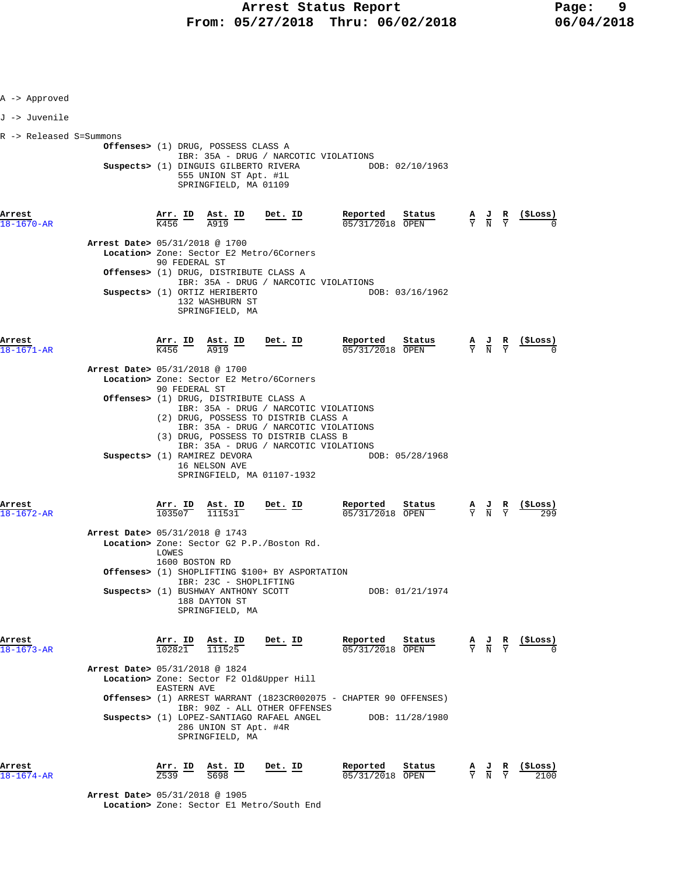| A -> Approved           |                                          |                                 |                                                                                                                                |                |                                                                                                                                               |                                                                                                 |                                                                                                                                       |
|-------------------------|------------------------------------------|---------------------------------|--------------------------------------------------------------------------------------------------------------------------------|----------------|-----------------------------------------------------------------------------------------------------------------------------------------------|-------------------------------------------------------------------------------------------------|---------------------------------------------------------------------------------------------------------------------------------------|
| J -> Juvenile           |                                          |                                 |                                                                                                                                |                |                                                                                                                                               |                                                                                                 |                                                                                                                                       |
| R -> Released S=Summons |                                          |                                 | Offenses> (1) DRUG, POSSESS CLASS A<br>Suspects> (1) DINGUIS GILBERTO RIVERA<br>555 UNION ST Apt. #1L<br>SPRINGFIELD, MA 01109 |                | IBR: 35A - DRUG / NARCOTIC VIOLATIONS<br>DOB: 02/10/1963                                                                                      |                                                                                                 |                                                                                                                                       |
| Arrest<br>18-1670-AR    |                                          |                                 | $\frac{\text{Arr.}}{K456}$ ID $\frac{\text{Ast.}}{\text{A919}}$ ID Det. ID                                                     |                | Reported Status<br>$\frac{0.5}{0.05}$<br>$\frac{0.00}{0.00}$                                                                                  |                                                                                                 | $\frac{A}{Y}$ $\frac{J}{N}$ $\frac{R}{Y}$ $\frac{($Loss)}{N}$                                                                         |
|                         | <b>Arrest Date&gt; 05/31/2018 @ 1700</b> | 90 FEDERAL ST                   | Location> Zone: Sector E2 Metro/6Corners                                                                                       |                |                                                                                                                                               |                                                                                                 |                                                                                                                                       |
|                         |                                          |                                 | Offenses> (1) DRUG, DISTRIBUTE CLASS A                                                                                         |                | IBR: 35A - DRUG / NARCOTIC VIOLATIONS                                                                                                         |                                                                                                 |                                                                                                                                       |
|                         |                                          |                                 | Suspects> (1) ORTIZ HERIBERTO<br>132 WASHBURN ST<br>SPRINGFIELD, MA                                                            |                | DOB: 03/16/1962                                                                                                                               |                                                                                                 |                                                                                                                                       |
| .8-1671-AR              |                                          |                                 | $\frac{\text{Arr.}}{\text{K456}}$ ID $\frac{\text{Ast.}}{\text{A919}}$ ID Det. ID                                              |                | Reported Status<br>$\frac{0.5}{0.5}$ $\frac{0.5}{0.0}$                                                                                        |                                                                                                 | $\frac{\mathbf{A}}{\mathbf{Y}}$ $\frac{\mathbf{J}}{\mathbf{N}}$ $\frac{\mathbf{R}}{\mathbf{Y}}$ $\frac{(\texttt{SLoss})}{\mathbf{0}}$ |
|                         | Arrest Date> 05/31/2018 @ 1700           | 90 FEDERAL ST                   | Location> Zone: Sector E2 Metro/6Corners                                                                                       |                |                                                                                                                                               |                                                                                                 |                                                                                                                                       |
|                         |                                          |                                 | Offenses> (1) DRUG, DISTRIBUTE CLASS A<br>(2) DRUG, POSSESS TO DISTRIB CLASS A<br>(3) DRUG, POSSESS TO DISTRIB CLASS B         |                | IBR: 35A - DRUG / NARCOTIC VIOLATIONS<br>IBR: 35A - DRUG / NARCOTIC VIOLATIONS<br>IBR: 35A - DRUG / NARCOTIC VIOLATIONS                       |                                                                                                 |                                                                                                                                       |
|                         |                                          |                                 | Suspects> (1) RAMIREZ DEVORA<br>16 NELSON AVE<br>SPRINGFIELD, MA 01107-1932                                                    |                | DOB: 05/28/1968                                                                                                                               |                                                                                                 |                                                                                                                                       |
| Arrest<br>18-1672-AR    |                                          | <u>Arr. ID</u><br>103507        | $\frac{\text{Ast. ID}}{\text{Ast. E}}$<br>111531                                                                               | Det. ID        | <u>Reported</u><br><u>Status</u><br>05/31/2018 OPEN                                                                                           | $\frac{\mathbf{A}}{\mathbf{Y}}$ $\frac{\mathbf{J}}{\mathbf{N}}$ $\frac{\mathbf{R}}{\mathbf{Y}}$ |                                                                                                                                       |
|                         | Arrest Date> 05/31/2018 @ 1743           | LOWES<br>1600 BOSTON RD         | Location> Zone: Sector G2 P.P./Boston Rd.                                                                                      |                |                                                                                                                                               |                                                                                                 |                                                                                                                                       |
|                         |                                          |                                 | Offenses> (1) SHOPLIFTING \$100+ BY ASPORTATION<br>IBR: 23C - SHOPLIFTING                                                      |                |                                                                                                                                               |                                                                                                 |                                                                                                                                       |
|                         |                                          |                                 | Suspects> (1) BUSHWAY ANTHONY SCOTT<br>188 DAYTON ST<br>SPRINGFIELD, MA                                                        |                | DOB: 01/21/1974                                                                                                                               |                                                                                                 |                                                                                                                                       |
| Arrest<br>18-1673-AR    |                                          | <u>Arr. ID</u><br>102821        | $\frac{\texttt{Ast.}}{111525}$                                                                                                 | Det. ID        | Reported<br>$\frac{\texttt{Status}}{\texttt{OPEN}}$ $\frac{A}{Y}$ $\frac{J}{N}$ $\frac{R}{Y}$ $\frac{(\texttt{5Loss})}{0}$<br>05/31/2018 OPEN |                                                                                                 |                                                                                                                                       |
|                         | Arrest Date> 05/31/2018 @ 1824           |                                 | Location> Zone: Sector F2 Old&Upper Hill                                                                                       |                |                                                                                                                                               |                                                                                                 |                                                                                                                                       |
|                         |                                          | <b>EASTERN AVE</b>              |                                                                                                                                |                | <b>Offenses&gt;</b> (1) ARREST WARRANT (1823CR002075 - CHAPTER 90 OFFENSES)                                                                   |                                                                                                 |                                                                                                                                       |
|                         |                                          |                                 | IBR: 90Z - ALL OTHER OFFENSES<br>286 UNION ST Apt. #4R<br>SPRINGFIELD, MA                                                      |                | Suspects> (1) LOPEZ-SANTIAGO RAFAEL ANGEL DOB: 11/28/1980                                                                                     |                                                                                                 |                                                                                                                                       |
| Arrest<br>$1674 - AR$   |                                          | $\frac{\texttt{Arr.}}{2539}$ ID | $\underbrace{\text{Ast.}}$ ID<br>S698                                                                                          | <u>Det. ID</u> | Reported<br><u>Status</u><br>05/31/2018 OPEN                                                                                                  |                                                                                                 | $\frac{A}{Y}$ $\frac{J}{N}$ $\frac{R}{Y}$ $\frac{($Loss)}{2100}$                                                                      |
|                         | Arrest Date> 05/31/2018 @ 1905           |                                 |                                                                                                                                |                |                                                                                                                                               |                                                                                                 |                                                                                                                                       |

 **Location>** Zone: Sector E1 Metro/South End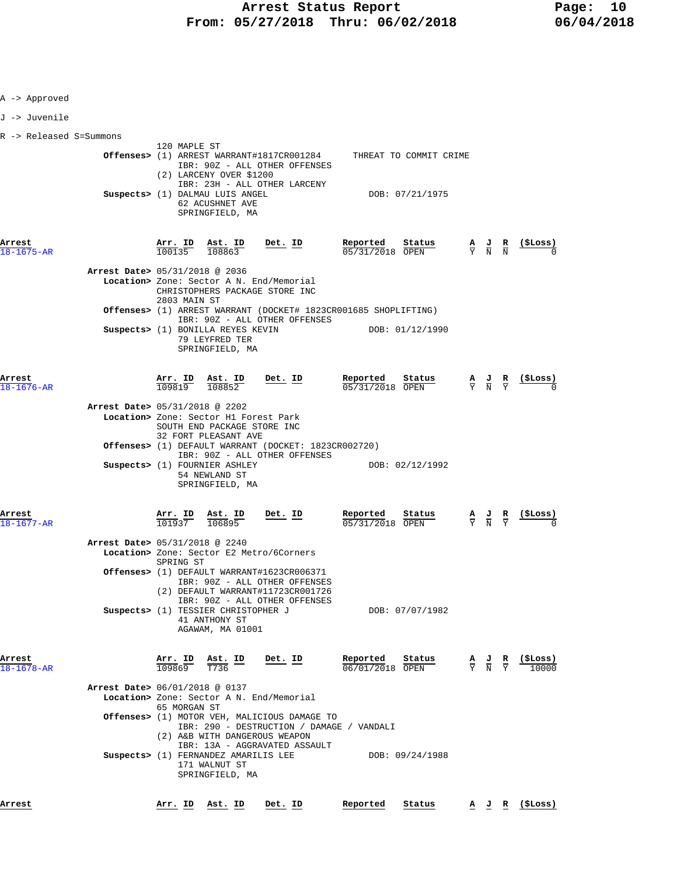| 120 MAPLE ST                                                                                                     |                                                                                                                                                                                                                                                                                                                                                                                                |
|------------------------------------------------------------------------------------------------------------------|------------------------------------------------------------------------------------------------------------------------------------------------------------------------------------------------------------------------------------------------------------------------------------------------------------------------------------------------------------------------------------------------|
| IBR: 90Z - ALL OTHER OFFENSES                                                                                    |                                                                                                                                                                                                                                                                                                                                                                                                |
| IBR: 23H - ALL OTHER LARCENY                                                                                     |                                                                                                                                                                                                                                                                                                                                                                                                |
| Suspects> (1) DALMAU LUIS ANGEL<br>62 ACUSHNET AVE<br>SPRINGFIELD, MA                                            | DOB: 07/21/1975                                                                                                                                                                                                                                                                                                                                                                                |
| $\frac{\text{Arr. ID}}{100135}$ $\frac{\text{Ast. ID}}{108863}$<br><u>Det. ID</u>                                | Reported<br>Status<br>$\frac{A}{Y}$ $\frac{J}{N}$ $\frac{R}{N}$<br>05/31/2018 OPEN                                                                                                                                                                                                                                                                                                             |
| Arrest Date> 05/31/2018 @ 2036<br>Location> Zone: Sector A N. End/Memorial                                       |                                                                                                                                                                                                                                                                                                                                                                                                |
| 2803 MAIN ST                                                                                                     |                                                                                                                                                                                                                                                                                                                                                                                                |
| IBR: 90Z - ALL OTHER OFFENSES                                                                                    |                                                                                                                                                                                                                                                                                                                                                                                                |
| Suspects> (1) BONILLA REYES KEVIN<br>79 LEYFRED TER<br>SPRINGFIELD, MA                                           | DOB: 01/12/1990                                                                                                                                                                                                                                                                                                                                                                                |
| Det. ID<br>$\frac{\texttt{Arr.}}{109819}$ $\frac{\texttt{Ast.}}{108852}$                                         | Reported<br>Status<br>$\frac{\mathbf{A}}{\mathbf{Y}}$ $\frac{\mathbf{J}}{\mathbf{N}}$ $\frac{\mathbf{R}}{\mathbf{Y}}$<br>$05/31/2018$ OPEN                                                                                                                                                                                                                                                     |
|                                                                                                                  |                                                                                                                                                                                                                                                                                                                                                                                                |
| Location> Zone: Sector H1 Forest Park<br>SOUTH END PACKAGE STORE INC<br>32 FORT PLEASANT AVE                     |                                                                                                                                                                                                                                                                                                                                                                                                |
| Offenses> (1) DEFAULT WARRANT (DOCKET: 1823CR002720)                                                             |                                                                                                                                                                                                                                                                                                                                                                                                |
| Suspects> (1) FOURNIER ASHLEY<br>54 NEWLAND ST<br>SPRINGFIELD, MA                                                | DOB: 02/12/1992                                                                                                                                                                                                                                                                                                                                                                                |
| Arr. ID<br>Ast. ID<br>Det. ID<br>101937<br>106895                                                                | Reported<br><u>Status</u><br>$\frac{\mathbf{A}}{\mathbf{Y}}$ $\frac{\mathbf{J}}{\mathbf{N}}$ $\frac{\mathbf{R}}{\mathbf{Y}}$<br>05/31/2018 OPEN                                                                                                                                                                                                                                                |
| Arrest Date> 05/31/2018 @ 2240<br>Location> Zone: Sector E2 Metro/6Corners                                       |                                                                                                                                                                                                                                                                                                                                                                                                |
| Offenses> (1) DEFAULT WARRANT#1623CR006371<br>IBR: 90Z - ALL OTHER OFFENSES<br>(2) DEFAULT WARRANT#11723CR001726 |                                                                                                                                                                                                                                                                                                                                                                                                |
| Suspects> (1) TESSIER CHRISTOPHER J<br>41 ANTHONY ST<br>AGAWAM, MA 01001                                         | DOB: 07/07/1982                                                                                                                                                                                                                                                                                                                                                                                |
| $\frac{\texttt{Arr. ID}}{109869}$<br>$\underbrace{\texttt{Ast.}}$ ID<br>Det. ID<br>T736                          | Reported<br>Status<br>$\frac{A}{Y}$ $\frac{J}{N}$ $\frac{R}{Y}$<br>(ŞLoss)<br>06/01/2018 OPEN                                                                                                                                                                                                                                                                                                  |
| Arrest Date> 06/01/2018 @ 0137                                                                                   |                                                                                                                                                                                                                                                                                                                                                                                                |
| 65 MORGAN ST                                                                                                     |                                                                                                                                                                                                                                                                                                                                                                                                |
| Offenses> (1) MOTOR VEH, MALICIOUS DAMAGE TO<br>IBR: 290 - DESTRUCTION / DAMAGE / VANDALI                        |                                                                                                                                                                                                                                                                                                                                                                                                |
| IBR: 13A - AGGRAVATED ASSAULT                                                                                    |                                                                                                                                                                                                                                                                                                                                                                                                |
| Suspects> (1) FERNANDEZ AMARILIS LEE<br>171 WALNUT ST<br>SPRINGFIELD, MA                                         | DOB: 09/24/1988                                                                                                                                                                                                                                                                                                                                                                                |
| <u>Arr. ID</u><br><u>Ast. ID</u><br><u>Det. ID</u>                                                               | Reported<br>Status<br><u>A J R (ŞLoss)</u>                                                                                                                                                                                                                                                                                                                                                     |
|                                                                                                                  | Offenses> (1) ARREST WARRANT#1817CR001284 THREAT TO COMMIT CRIME<br>(2) LARCENY OVER \$1200<br>CHRISTOPHERS PACKAGE STORE INC<br>Offenses> (1) ARREST WARRANT (DOCKET# 1823CR001685 SHOPLIFTING)<br>Arrest Date> 05/31/2018 @ 2202<br>IBR: 90Z - ALL OTHER OFFENSES<br>SPRING ST<br>IBR: 90Z - ALL OTHER OFFENSES<br>Location> Zone: Sector A N. End/Memorial<br>(2) A&B WITH DANGEROUS WEAPON |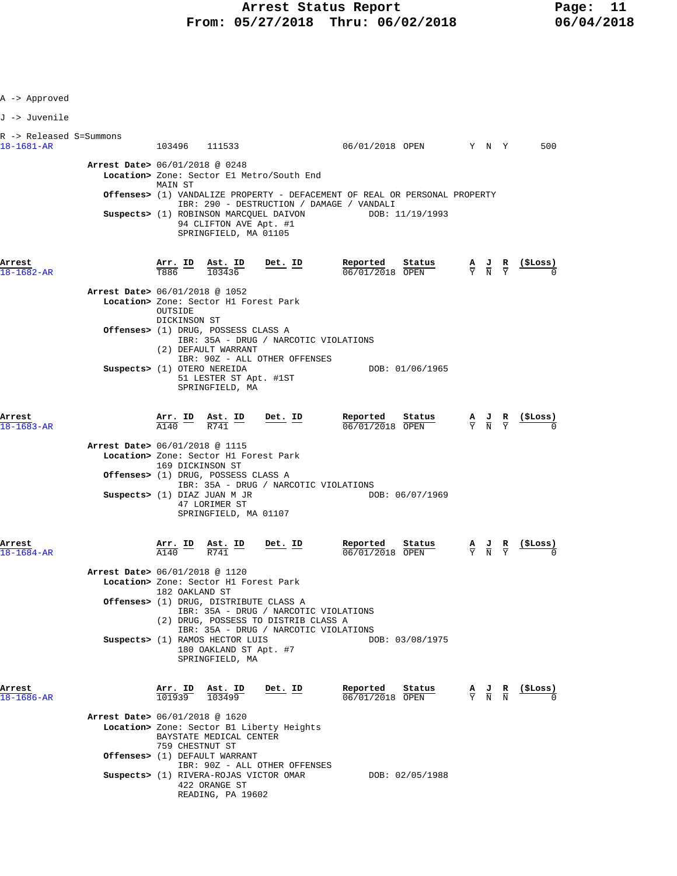| A -> Approved                               |                                |                                                                                                                                           |                                                                                   |                                                                                     |                                                                                      |                                                                                                 |                                                                 |                               |                                                               |  |
|---------------------------------------------|--------------------------------|-------------------------------------------------------------------------------------------------------------------------------------------|-----------------------------------------------------------------------------------|-------------------------------------------------------------------------------------|--------------------------------------------------------------------------------------|-------------------------------------------------------------------------------------------------|-----------------------------------------------------------------|-------------------------------|---------------------------------------------------------------|--|
| J -> Juvenile                               |                                |                                                                                                                                           |                                                                                   |                                                                                     |                                                                                      |                                                                                                 |                                                                 |                               |                                                               |  |
| R -> Released S=Summons<br>$18 - 1681 - AR$ |                                |                                                                                                                                           | 103496 111533                                                                     |                                                                                     | 06/01/2018 OPEN Y N Y                                                                |                                                                                                 |                                                                 |                               | 500                                                           |  |
|                                             | Arrest Date> 06/01/2018 @ 0248 |                                                                                                                                           |                                                                                   | Location> Zone: Sector El Metro/South End                                           |                                                                                      |                                                                                                 |                                                                 |                               |                                                               |  |
|                                             |                                | MAIN ST                                                                                                                                   |                                                                                   |                                                                                     | <b>Offenses&gt;</b> (1) VANDALIZE PROPERTY - DEFACEMENT OF REAL OR PERSONAL PROPERTY |                                                                                                 |                                                                 |                               |                                                               |  |
|                                             |                                |                                                                                                                                           | 94 CLIFTON AVE Apt. #1<br>SPRINGFIELD, MA 01105                                   | IBR: 290 - DESTRUCTION / DAMAGE / VANDALI<br>Suspects> (1) ROBINSON MARCOUEL DAIVON | DOB: 11/19/1993                                                                      |                                                                                                 |                                                                 |                               |                                                               |  |
| Arrest<br>18-1682-AR                        |                                | $\frac{\text{Arr.}}{\text{T886}}$ ID $\frac{\text{Ast.}}{103436}$                                                                         | Ast. ID                                                                           | <u>Det. ID</u>                                                                      | Reported<br>Status<br>06/01/2018 OPEN                                                |                                                                                                 |                                                                 |                               | $\frac{A}{Y}$ $\frac{J}{N}$ $\frac{R}{Y}$ $\frac{($Loss)}{0}$ |  |
|                                             | Arrest Date> 06/01/2018 @ 1052 | OUTSIDE                                                                                                                                   | Location> Zone: Sector H1 Forest Park                                             |                                                                                     |                                                                                      |                                                                                                 |                                                                 |                               |                                                               |  |
|                                             |                                | DICKINSON ST                                                                                                                              | Offenses> (1) DRUG, POSSESS CLASS A<br>(2) DEFAULT WARRANT                        | IBR: 35A - DRUG / NARCOTIC VIOLATIONS<br>IBR: 90Z - ALL OTHER OFFENSES              |                                                                                      |                                                                                                 |                                                                 |                               |                                                               |  |
|                                             | Suspects> (1) OTERO NEREIDA    |                                                                                                                                           | 51 LESTER ST Apt. #1ST<br>SPRINGFIELD, MA                                         |                                                                                     | DOB: 01/06/1965                                                                      |                                                                                                 |                                                                 |                               |                                                               |  |
| Arrest<br>18-1683-AR                        |                                |                                                                                                                                           | $\frac{\text{Arr.}}{\text{A140}}$ ID $\frac{\text{Ast.}}{\text{R741}}$ ID Det. ID |                                                                                     | Reported<br>Status<br>06/01/2018 OPEN                                                |                                                                                                 | $\frac{A}{Y}$ $\frac{J}{N}$ $\frac{R}{Y}$                       |                               |                                                               |  |
|                                             | Arrest Date> 06/01/2018 @ 1115 | 169 DICKINSON ST                                                                                                                          | Location> Zone: Sector H1 Forest Park                                             |                                                                                     |                                                                                      |                                                                                                 |                                                                 |                               |                                                               |  |
|                                             |                                |                                                                                                                                           | Offenses> (1) DRUG, POSSESS CLASS A                                               | IBR: 35A - DRUG / NARCOTIC VIOLATIONS                                               |                                                                                      |                                                                                                 |                                                                 |                               |                                                               |  |
|                                             |                                |                                                                                                                                           | Suspects> (1) DIAZ JUAN M JR<br>47 LORIMER ST<br>SPRINGFIELD, MA 01107            |                                                                                     | DOB: 06/07/1969                                                                      |                                                                                                 |                                                                 |                               |                                                               |  |
| Arrest<br>18-1684-AR                        |                                | $\frac{\text{Arr.}}{\text{A140}}$ ID $\frac{\text{Ast.}}{\text{R741}}$ ID                                                                 |                                                                                   | <u>Det. ID</u>                                                                      | Reported<br>Status<br>06/01/2018 OPEN                                                |                                                                                                 | $\frac{\mathbf{A}}{\mathbf{Y}}$ $\frac{\mathbf{J}}{\mathbf{N}}$ | $rac{\mathbf{R}}{\mathbf{Y}}$ |                                                               |  |
|                                             | Arrest Date> 06/01/2018 @ 1120 |                                                                                                                                           | Location> Zone: Sector H1 Forest Park                                             |                                                                                     |                                                                                      |                                                                                                 |                                                                 |                               |                                                               |  |
|                                             |                                | 182 OAKLAND ST<br>Offenses> (1) DRUG, DISTRIBUTE CLASS A<br>IBR: 35A - DRUG / NARCOTIC VIOLATIONS<br>(2) DRUG, POSSESS TO DISTRIB CLASS A |                                                                                   |                                                                                     |                                                                                      |                                                                                                 |                                                                 |                               |                                                               |  |
|                                             |                                |                                                                                                                                           | Suspects> (1) RAMOS HECTOR LUIS<br>180 OAKLAND ST Apt. #7                         | IBR: 35A - DRUG / NARCOTIC VIOLATIONS                                               | DOB: 03/08/1975                                                                      |                                                                                                 |                                                                 |                               |                                                               |  |
|                                             |                                |                                                                                                                                           | SPRINGFIELD, MA                                                                   |                                                                                     |                                                                                      |                                                                                                 |                                                                 |                               |                                                               |  |
| Arrest<br>18-1686-AR                        |                                | 101939 103499                                                                                                                             | Arr. ID Ast. ID                                                                   | Det. ID                                                                             | Reported<br>Status<br>$06/01/2018$ OPEN                                              | $\frac{\mathbf{A}}{\mathbf{Y}}$ $\frac{\mathbf{J}}{\mathbf{N}}$ $\frac{\mathbf{R}}{\mathbf{N}}$ |                                                                 |                               | (\$Loss)                                                      |  |
|                                             | Arrest Date> 06/01/2018 @ 1620 | 759 CHESTNUT ST                                                                                                                           | BAYSTATE MEDICAL CENTER                                                           | Location> Zone: Sector B1 Liberty Heights                                           |                                                                                      |                                                                                                 |                                                                 |                               |                                                               |  |
|                                             |                                |                                                                                                                                           | Offenses> (1) DEFAULT WARRANT                                                     | IBR: 90Z - ALL OTHER OFFENSES                                                       |                                                                                      |                                                                                                 |                                                                 |                               |                                                               |  |
|                                             |                                |                                                                                                                                           | 422 ORANGE ST<br>READING, PA 19602                                                | Suspects> (1) RIVERA-ROJAS VICTOR OMAR                                              | DOB: 02/05/1988                                                                      |                                                                                                 |                                                                 |                               |                                                               |  |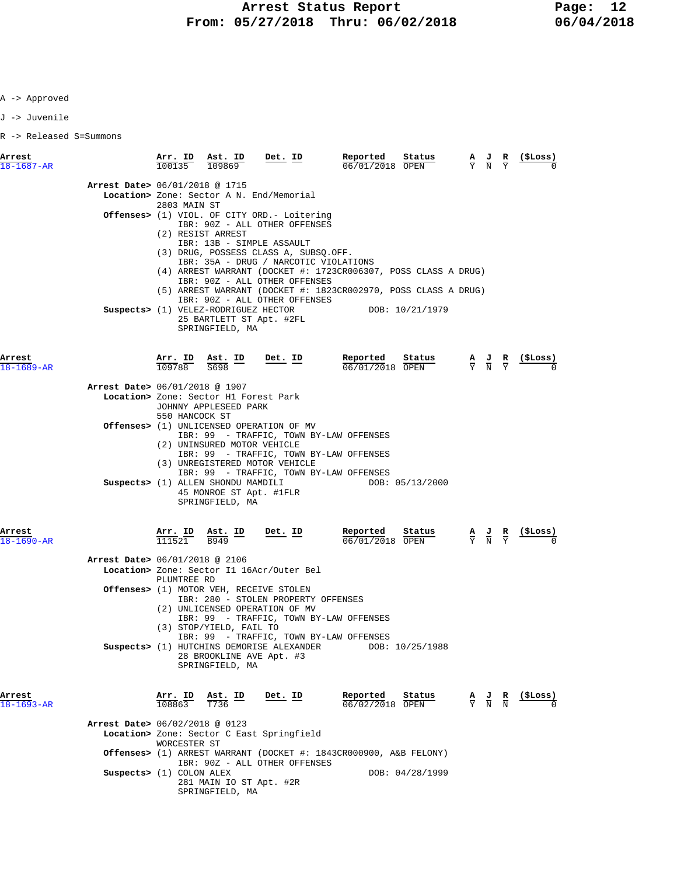J -> Juvenile

| Arrest<br>$18 - 1687 - AR$     | Arr. ID<br>100135                                                                                                                                                                                                                                                                | Ast. ID<br>109869                                                                                            | Det. ID                                                                                                                                                                                                                                                                                                             | Reported<br>Status<br>$06/01/2018$ OPEN                                                                                          | $\frac{\mathbf{A}}{\mathbf{Y}}$ $\frac{\mathbf{J}}{\mathbf{N}}$ $\frac{\mathbf{R}}{\mathbf{Y}}$ | ( \$Loss)                                          |  |
|--------------------------------|----------------------------------------------------------------------------------------------------------------------------------------------------------------------------------------------------------------------------------------------------------------------------------|--------------------------------------------------------------------------------------------------------------|---------------------------------------------------------------------------------------------------------------------------------------------------------------------------------------------------------------------------------------------------------------------------------------------------------------------|----------------------------------------------------------------------------------------------------------------------------------|-------------------------------------------------------------------------------------------------|----------------------------------------------------|--|
| Arrest Date> 06/01/2018 @ 1715 | 2803 MAIN ST                                                                                                                                                                                                                                                                     | (2) RESIST ARREST                                                                                            | Location> Zone: Sector A N. End/Memorial<br><b>Offenses&gt;</b> (1) VIOL. OF CITY ORD.- Loitering<br>IBR: 90Z - ALL OTHER OFFENSES<br>IBR: 13B - SIMPLE ASSAULT<br>(3) DRUG, POSSESS CLASS A, SUBSQ.OFF.<br>IBR: 35A - DRUG / NARCOTIC VIOLATIONS<br>IBR: 90Z - ALL OTHER OFFENSES<br>IBR: 90Z - ALL OTHER OFFENSES | (4) ARREST WARRANT (DOCKET #: 1723CR006307, POSS CLASS A DRUG)<br>(5) ARREST WARRANT (DOCKET #: 1823CR002970, POSS CLASS A DRUG) |                                                                                                 |                                                    |  |
| Arrest                         |                                                                                                                                                                                                                                                                                  | Suspects> (1) VELEZ-RODRIGUEZ HECTOR<br>25 BARTLETT ST Apt. #2FL<br>SPRINGFIELD, MA                          | Det. ID                                                                                                                                                                                                                                                                                                             | DOB: 10/21/1979<br>Reported<br>Status                                                                                            |                                                                                                 |                                                    |  |
| $18 - 1689 - AR$               |                                                                                                                                                                                                                                                                                  | $\frac{\text{Arr. ID}}{109788}$ $\frac{\text{Ast. ID}}{5698}$<br>S698                                        |                                                                                                                                                                                                                                                                                                                     | 06/01/2018 OPEN                                                                                                                  | $\frac{\mathbf{A}}{\mathbf{Y}}$ $\frac{\mathbf{J}}{\mathbf{N}}$ $\frac{\mathbf{R}}{\mathbf{Y}}$ |                                                    |  |
| Arrest Date> 06/01/2018 @ 1907 | 550 HANCOCK ST                                                                                                                                                                                                                                                                   | Location> Zone: Sector H1 Forest Park<br>JOHNNY APPLESEED PARK                                               |                                                                                                                                                                                                                                                                                                                     |                                                                                                                                  |                                                                                                 |                                                    |  |
|                                | Offenses> (1) UNLICENSED OPERATION OF MV<br>IBR: 99 - TRAFFIC, TOWN BY-LAW OFFENSES<br>(2) UNINSURED MOTOR VEHICLE<br>IBR: 99 - TRAFFIC, TOWN BY-LAW OFFENSES<br>(3) UNREGISTERED MOTOR VEHICLE<br>IBR: 99 - TRAFFIC, TOWN BY-LAW OFFENSES<br>Suspects> (1) ALLEN SHONDU MAMDILI |                                                                                                              |                                                                                                                                                                                                                                                                                                                     |                                                                                                                                  |                                                                                                 |                                                    |  |
|                                |                                                                                                                                                                                                                                                                                  | 45 MONROE ST Apt. #1FLR<br>SPRINGFIELD, MA                                                                   |                                                                                                                                                                                                                                                                                                                     | DOB: 05/13/2000                                                                                                                  |                                                                                                 |                                                    |  |
| Arrest<br>$18 - 1690 - AR$     | <u>Arr. ID</u><br>111521                                                                                                                                                                                                                                                         | $\frac{\text{Ast.}}{\text{B949}}$ ID                                                                         | <u>Det. ID</u>                                                                                                                                                                                                                                                                                                      | Reported<br>Status<br>06/01/2018 OPEN                                                                                            | $\frac{\mathbf{A}}{\mathbf{Y}}$ $\frac{\mathbf{J}}{\mathbf{N}}$ $\frac{\mathbf{R}}{\mathbf{Y}}$ |                                                    |  |
| Arrest Date> 06/01/2018 @ 2106 |                                                                                                                                                                                                                                                                                  |                                                                                                              |                                                                                                                                                                                                                                                                                                                     |                                                                                                                                  |                                                                                                 |                                                    |  |
|                                |                                                                                                                                                                                                                                                                                  |                                                                                                              | Location> Zone: Sector I1 16Acr/Outer Bel                                                                                                                                                                                                                                                                           |                                                                                                                                  |                                                                                                 |                                                    |  |
|                                | PLUMTREE RD                                                                                                                                                                                                                                                                      | (3) STOP/YIELD, FAIL TO                                                                                      | Offenses> (1) MOTOR VEH, RECEIVE STOLEN<br>IBR: 280 - STOLEN PROPERTY OFFENSES<br>(2) UNLICENSED OPERATION OF MV<br>IBR: 99 - TRAFFIC, TOWN BY-LAW OFFENSES<br>IBR: 99 - TRAFFIC, TOWN BY-LAW OFFENSES                                                                                                              |                                                                                                                                  |                                                                                                 |                                                    |  |
| Arrest                         |                                                                                                                                                                                                                                                                                  | 28 BROOKLINE AVE Apt. #3<br>SPRINGFIELD, MA<br>$\frac{\text{Arr. ID}}{108863}$ $\frac{\text{Ast. ID}}{T736}$ | Suspects> (1) HUTCHINS DEMORISE ALEXANDER<br><u>Det. ID</u>                                                                                                                                                                                                                                                         | DOB: 10/25/1988<br>Reported<br><u>Status</u>                                                                                     |                                                                                                 | $\frac{A}{Y}$ $\frac{J}{N}$ $\frac{R}{N}$ (\$Loss) |  |
| 18-1693-AR                     |                                                                                                                                                                                                                                                                                  |                                                                                                              |                                                                                                                                                                                                                                                                                                                     | 06/02/2018 OPEN                                                                                                                  |                                                                                                 |                                                    |  |
| Arrest Date> 06/02/2018 @ 0123 | WORCESTER ST                                                                                                                                                                                                                                                                     |                                                                                                              | Location> Zone: Sector C East Springfield                                                                                                                                                                                                                                                                           |                                                                                                                                  |                                                                                                 |                                                    |  |
|                                |                                                                                                                                                                                                                                                                                  |                                                                                                              | IBR: 90Z - ALL OTHER OFFENSES                                                                                                                                                                                                                                                                                       | <b>Offenses&gt;</b> (1) ARREST WARRANT (DOCKET #: 1843CR000900, A&B FELONY)                                                      |                                                                                                 |                                                    |  |
| Suspects> (1) COLON ALEX       |                                                                                                                                                                                                                                                                                  | 281 MAIN IO ST Apt. #2R<br>SPRINGFIELD, MA                                                                   |                                                                                                                                                                                                                                                                                                                     | DOB: 04/28/1999                                                                                                                  |                                                                                                 |                                                    |  |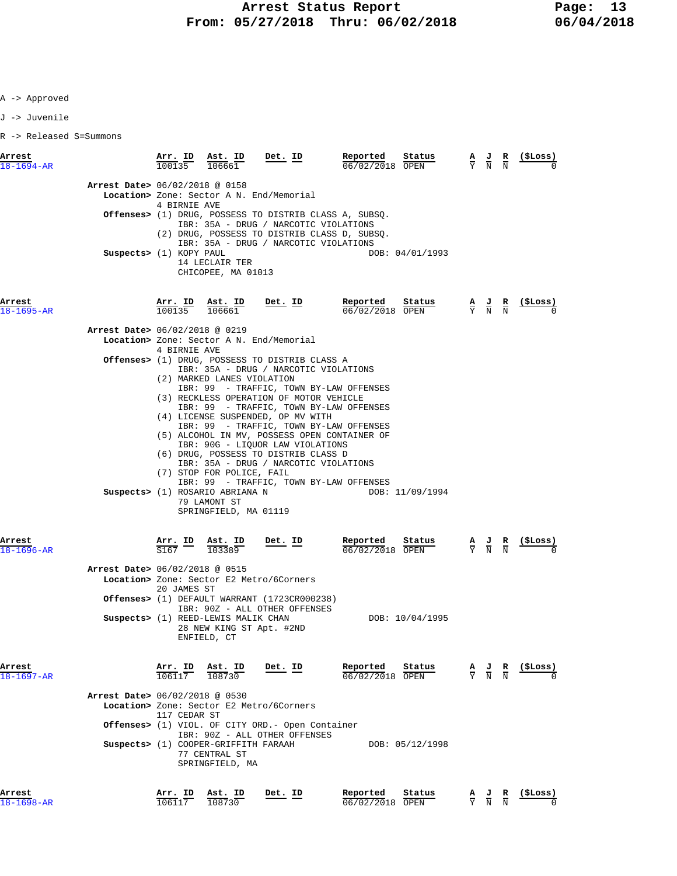J -> Juvenile

| Arrest<br>$18 - 1694 - AR$     | Arr. ID<br>$\frac{1111 \cdot 10}{100135}$ | Ast. ID<br>106661                                                                                                                   | $Det$ . ID                                                                                                                                                                                                                                                                                                                                                                                                                    | Reported<br>06/02/2018 OPEN   | Status          | $\frac{\mathbf{A}}{\mathbf{Y}}$ $\frac{\mathbf{J}}{\mathbf{N}}$ $\frac{\mathbf{R}}{\mathbf{N}}$ |                                                                                                       | (SLoss)    |
|--------------------------------|-------------------------------------------|-------------------------------------------------------------------------------------------------------------------------------------|-------------------------------------------------------------------------------------------------------------------------------------------------------------------------------------------------------------------------------------------------------------------------------------------------------------------------------------------------------------------------------------------------------------------------------|-------------------------------|-----------------|-------------------------------------------------------------------------------------------------|-------------------------------------------------------------------------------------------------------|------------|
| Arrest Date> 06/02/2018 @ 0158 | 4 BIRNIE AVE                              |                                                                                                                                     | Location> Zone: Sector A N. End/Memorial                                                                                                                                                                                                                                                                                                                                                                                      |                               |                 |                                                                                                 |                                                                                                       |            |
|                                |                                           |                                                                                                                                     | Offenses> (1) DRUG, POSSESS TO DISTRIB CLASS A, SUBSQ.<br>IBR: 35A - DRUG / NARCOTIC VIOLATIONS<br>(2) DRUG, POSSESS TO DISTRIB CLASS D, SUBSQ.                                                                                                                                                                                                                                                                               |                               |                 |                                                                                                 |                                                                                                       |            |
|                                | Suspects> (1) KOPY PAUL                   | 14 LECLAIR TER<br>CHICOPEE, MA 01013                                                                                                | IBR: 35A - DRUG / NARCOTIC VIOLATIONS                                                                                                                                                                                                                                                                                                                                                                                         |                               | DOB: 04/01/1993 |                                                                                                 |                                                                                                       |            |
| Arrest<br>$18 - 1695 - AR$     | 100135                                    | Arr. ID Ast. ID<br>106661                                                                                                           | <u>Det. ID</u>                                                                                                                                                                                                                                                                                                                                                                                                                | Reported<br>06/02/2018 OPEN   | Status          | $\frac{\mathbf{A}}{\mathbf{Y}}$ $\frac{\mathbf{J}}{\mathbf{N}}$ $\frac{\mathbf{R}}{\mathbf{N}}$ |                                                                                                       | $(5$ Loss) |
| Arrest Date> 06/02/2018 @ 0219 |                                           |                                                                                                                                     | Location> Zone: Sector A N. End/Memorial                                                                                                                                                                                                                                                                                                                                                                                      |                               |                 |                                                                                                 |                                                                                                       |            |
|                                | 4 BIRNIE AVE                              |                                                                                                                                     | <b>Offenses&gt;</b> (1) DRUG, POSSESS TO DISTRIB CLASS A<br>IBR: 35A - DRUG / NARCOTIC VIOLATIONS                                                                                                                                                                                                                                                                                                                             |                               |                 |                                                                                                 |                                                                                                       |            |
|                                |                                           | (2) MARKED LANES VIOLATION<br>(7) STOP FOR POLICE, FAIL<br>Suspects> (1) ROSARIO ABRIANA N<br>79 LAMONT ST<br>SPRINGFIELD, MA 01119 | IBR: 99 - TRAFFIC, TOWN BY-LAW OFFENSES<br>(3) RECKLESS OPERATION OF MOTOR VEHICLE<br>IBR: 99 - TRAFFIC, TOWN BY-LAW OFFENSES<br>(4) LICENSE SUSPENDED, OP MV WITH<br>IBR: 99 - TRAFFIC, TOWN BY-LAW OFFENSES<br>(5) ALCOHOL IN MV, POSSESS OPEN CONTAINER OF<br>IBR: 90G - LIQUOR LAW VIOLATIONS<br>(6) DRUG, POSSESS TO DISTRIB CLASS D<br>IBR: 35A - DRUG / NARCOTIC VIOLATIONS<br>IBR: 99 - TRAFFIC, TOWN BY-LAW OFFENSES |                               | DOB: 11/09/1994 |                                                                                                 |                                                                                                       |            |
| Arrest<br>$18 - 1696 - AR$     | $\overline{167}$ –                        | Arr. ID Ast. ID<br>103389                                                                                                           | Det. ID                                                                                                                                                                                                                                                                                                                                                                                                                       | Reported<br>$06/02/2018$ OPEN | Status          |                                                                                                 | $\frac{\mathbf{A}}{\overline{Y}}$ $\frac{\mathbf{J}}{\overline{N}}$ $\frac{\mathbf{R}}{\overline{N}}$ | (ŞLoss)    |
| Arrest Date> 06/02/2018 @ 0515 | 20 JAMES ST                               |                                                                                                                                     | Location> Zone: Sector E2 Metro/6Corners                                                                                                                                                                                                                                                                                                                                                                                      |                               |                 |                                                                                                 |                                                                                                       |            |
|                                |                                           |                                                                                                                                     | <b>Offenses&gt;</b> (1) DEFAULT WARRANT (1723CR000238)<br>IBR: 90Z - ALL OTHER OFFENSES                                                                                                                                                                                                                                                                                                                                       |                               |                 |                                                                                                 |                                                                                                       |            |
|                                |                                           | Suspects> (1) REED-LEWIS MALIK CHAN<br>ENFIELD, CT                                                                                  | 28 NEW KING ST Apt. #2ND                                                                                                                                                                                                                                                                                                                                                                                                      |                               | DOB: 10/04/1995 |                                                                                                 |                                                                                                       |            |
| Arrest<br>$18 - 1697 - AR$     | Arr. ID<br>$\frac{106117}{}$              | Ast. ID<br>108730                                                                                                                   | Det. ID                                                                                                                                                                                                                                                                                                                                                                                                                       | Reported<br>06/02/2018 OPEN   | Status          | $\frac{\mathbf{A}}{\mathbf{Y}}$ $\frac{\mathbf{J}}{\mathbf{N}}$ $\frac{\mathbf{R}}{\mathbf{N}}$ |                                                                                                       | (ŞLoss)    |
| Arrest Date> 06/02/2018 @ 0530 | 117 CEDAR ST                              |                                                                                                                                     | Location> Zone: Sector E2 Metro/6Corners                                                                                                                                                                                                                                                                                                                                                                                      |                               |                 |                                                                                                 |                                                                                                       |            |
|                                |                                           |                                                                                                                                     | <b>Offenses&gt;</b> (1) VIOL. OF CITY ORD.- Open Container<br>IBR: 90Z - ALL OTHER OFFENSES                                                                                                                                                                                                                                                                                                                                   |                               |                 |                                                                                                 |                                                                                                       |            |
|                                |                                           | Suspects> (1) COOPER-GRIFFITH FARAAH<br>77 CENTRAL ST<br>SPRINGFIELD, MA                                                            |                                                                                                                                                                                                                                                                                                                                                                                                                               |                               | DOB: 05/12/1998 |                                                                                                 |                                                                                                       |            |
| Arrest<br>$18 - 1698 - AR$     | Arr. ID<br>106117                         | Ast. ID<br>108730                                                                                                                   | Det. ID                                                                                                                                                                                                                                                                                                                                                                                                                       | Reported<br>06/02/2018 OPEN   | Status          | $\frac{5}{5}$                                                                                   |                                                                                                       | (ŞLoss)    |